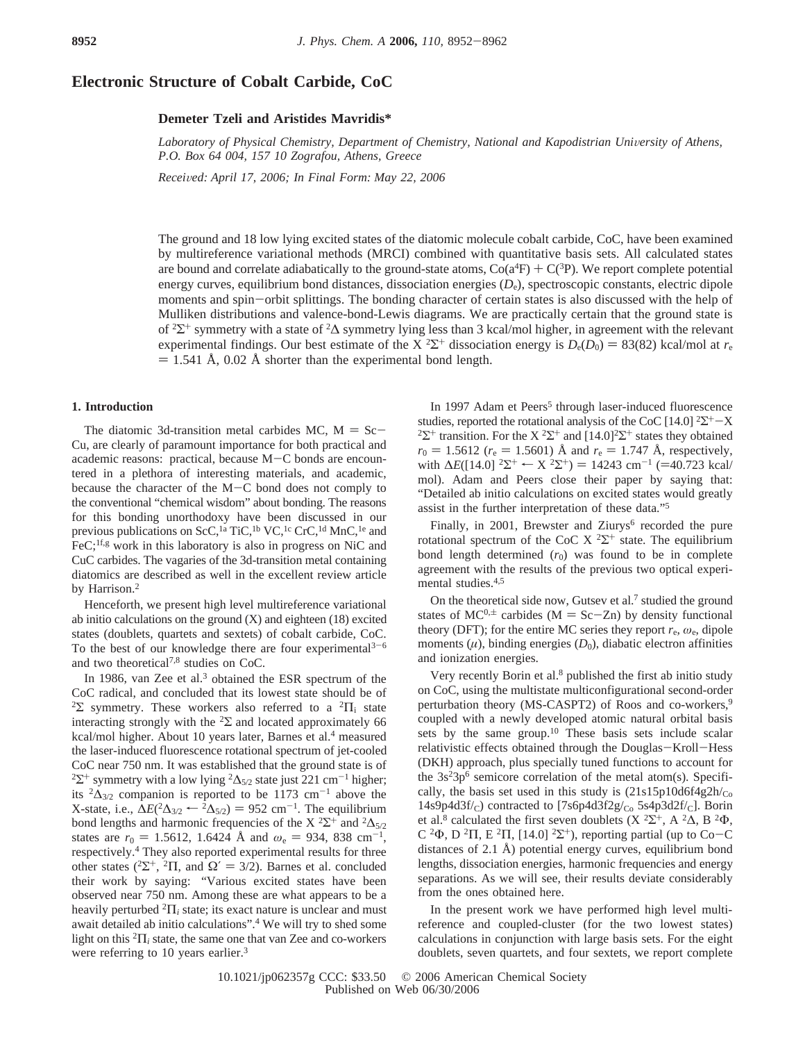# **Electronic Structure of Cobalt Carbide, CoC**

# **Demeter Tzeli and Aristides Mavridis\***

Laboratory of Physical Chemistry, Department of Chemistry, National and Kapodistrian University of Athens, *P.O. Box 64 004, 157 10 Zografou, Athens, Greece*

*Recei*V*ed: April 17, 2006; In Final Form: May 22, 2006*

The ground and 18 low lying excited states of the diatomic molecule cobalt carbide, CoC, have been examined by multireference variational methods (MRCI) combined with quantitative basis sets. All calculated states are bound and correlate adiabatically to the ground-state atoms,  $\text{Co}(a^4F) + \text{C}(3P)$ . We report complete potential<br>energy curves, equilibrium bond distances, dissociation energies (D), spectroscopic constants, electric energy curves, equilibrium bond distances, dissociation energies (*D*e), spectroscopic constants, electric dipole moments and spin-orbit splittings. The bonding character of certain states is also discussed with the help of Mulliken distributions and valence-bond-Lewis diagrams. We are practically certain that the ground state is of <sup>2</sup> $\Sigma$ <sup>+</sup> symmetry with a state of <sup>2</sup> $\Delta$  symmetry lying less than 3 kcal/mol higher, in agreement with the relevant experimental findings. Our best estimate of the X<sup>2</sup> $\Sigma$ <sup>+</sup> dissociation energy is  $D_e(D_0) = 83(82)$  kcal/mol at  $r_e$ <br>= 1.541 Å 0.02 Å shorter than the experimental bond length  $= 1.541$  Å, 0.02 Å shorter than the experimental bond length.

## **1. Introduction**

The diatomic 3d-transition metal carbides MC,  $M = Sc-$ Cu, are clearly of paramount importance for both practical and academic reasons: practical, because M-C bonds are encountered in a plethora of interesting materials, and academic, because the character of the M-C bond does not comply to the conventional "chemical wisdom" about bonding. The reasons for this bonding unorthodoxy have been discussed in our previous publications on ScC,<sup>1a</sup> TiC,<sup>1b</sup> VC,<sup>1c</sup> CrC,<sup>1d</sup> MnC,<sup>1e</sup> and  $FeC<sub>i</sub>$ <sup>1f,g</sup> work in this laboratory is also in progress on NiC and CuC carbides. The vagaries of the 3d-transition metal containing diatomics are described as well in the excellent review article by Harrison.<sup>2</sup>

Henceforth, we present high level multireference variational ab initio calculations on the ground (X) and eighteen (18) excited states (doublets, quartets and sextets) of cobalt carbide, CoC. To the best of our knowledge there are four experimental $3-6$ and two theoretical7,8 studies on CoC.

In 1986, van Zee et al.3 obtained the ESR spectrum of the CoC radical, and concluded that its lowest state should be of <sup>2</sup>Σ symmetry. These workers also referred to a <sup>2</sup> $\Pi$ <sub>i</sub> state interacting strongly with the  ${}^{2}\Sigma$  and located approximately 66 kcal/mol higher. About 10 years later, Barnes et al.<sup>4</sup> measured the laser-induced fluorescence rotational spectrum of jet-cooled CoC near 750 nm. It was established that the ground state is of <sup>2</sup>Σ<sup>+</sup> symmetry with a low lying <sup>2</sup> $\Delta$ <sub>5/2</sub> state just 221 cm<sup>-1</sup> higher; its  ${}^{2}\Delta_{3/2}$  companion is reported to be 1173 cm<sup>-1</sup> above the X-state, i.e.,  $\Delta E(^{2}\Delta_{3/2} \leftarrow 2\Delta_{5/2}) = 952$  cm<sup>-1</sup>. The equilibrium bond lengths and harmonic frequencies of the X<sup>2</sup> $\Sigma$ <sup>+</sup> and <sup>2</sup> $\Delta_{5/2}$ states are  $r_0 = 1.5612$ , 1.6424 Å and  $\omega_e = 934$ , 838 cm<sup>-1</sup>, respectively.4 They also reported experimental results for three other states ( ${}^{2}\Sigma^{+}$ ,  ${}^{2}\Pi$ , and  $\Omega' = 3/2$ ). Barnes et al. concluded their work by saying: "Various excited states have been observed near 750 nm. Among these are what appears to be a heavily perturbed  ${}^{2}$  $\Pi$ <sub>*i*</sub> state; its exact nature is unclear and must await detailed ab initio calculations".4 We will try to shed some light on this  ${}^{2}$  $\Pi$ <sub>*i*</sub> state, the same one that van Zee and co-workers were referring to 10 years earlier.<sup>3</sup>

In 1997 Adam et Peers<sup>5</sup> through laser-induced fluorescence studies, reported the rotational analysis of the CoC [14.0] <sup>2</sup>Σ<sup>+</sup> -X <sup>2</sup>Σ<sup>+</sup> transition. For the X<sup>2</sup>Σ<sup>+</sup> and [14.0]<sup>2</sup>Σ<sup>+</sup> states they obtained  $r_0 = 1.5612$  ( $r_e = 1.5601$ ) Å and  $r_e = 1.747$  Å, respectively,  $r_0 = 1.5612$  ( $r_e = 1.5601$ ) Å and  $r_e = 1.747$  Å, respectively,<br>with  $\Delta F(114.01.25^+ \leftarrow X.25^+) = 14243$  cm<sup>-1</sup> (=40.723 kcal) with  $\Delta E([14.0]^{2} \Sigma^{+} \leftarrow X^{2} \Sigma^{+}) = 14243$  cm<sup>-1</sup> (=40.723 kcal/<br>mol) Adam and Peers close their paper by saying that: mol). Adam and Peers close their paper by saying that: "Detailed ab initio calculations on excited states would greatly assist in the further interpretation of these data."5

Finally, in 2001, Brewster and Ziurys<sup>6</sup> recorded the pure rotational spectrum of the CoC X  ${}^{2}\Sigma^{+}$  state. The equilibrium bond length determined  $(r_0)$  was found to be in complete agreement with the results of the previous two optical experimental studies.<sup>4,5</sup>

On the theoretical side now, Gutsev et al.7 studied the ground states of MC<sup>0, $\pm$ </sup> carbides (M = Sc-Zn) by density functional theory (DFT); for the entire MC series they report  $r_e$ ,  $\omega_e$ , dipole moments  $(\mu)$ , binding energies  $(D_0)$ , diabatic electron affinities and ionization energies.

Very recently Borin et al.<sup>8</sup> published the first ab initio study on CoC, using the multistate multiconfigurational second-order perturbation theory (MS-CASPT2) of Roos and co-workers,<sup>9</sup> coupled with a newly developed atomic natural orbital basis sets by the same group.<sup>10</sup> These basis sets include scalar relativistic effects obtained through the Douglas-Kroll-Hess (DKH) approach, plus specially tuned functions to account for the  $3s<sup>2</sup>3p<sup>6</sup>$  semicore correlation of the metal atom(s). Specifically, the basis set used in this study is  $(21s15p10d6f4g2h/c<sub>o</sub>)$  $14s9p4d3f/c$ ) contracted to  $[7s6p4d3f2g/c_0 5s4p3d2f/c]$ . Borin et al.<sup>8</sup> calculated the first seven doublets (X <sup>2</sup> $\Sigma$ <sup>+</sup>, A <sup>2</sup> $\Delta$ , B <sup>2</sup> $\Phi$ , C <sup>2</sup>Φ, D <sup>2</sup>Π, E <sup>2</sup>Π, [14.0] <sup>2</sup>Σ<sup>+</sup>), reporting partial (up to Co-C distances of 2.1 Å) potential energy curves, equilibrium bond lengths, dissociation energies, harmonic frequencies and energy separations. As we will see, their results deviate considerably from the ones obtained here.

In the present work we have performed high level multireference and coupled-cluster (for the two lowest states) calculations in conjunction with large basis sets. For the eight doublets, seven quartets, and four sextets, we report complete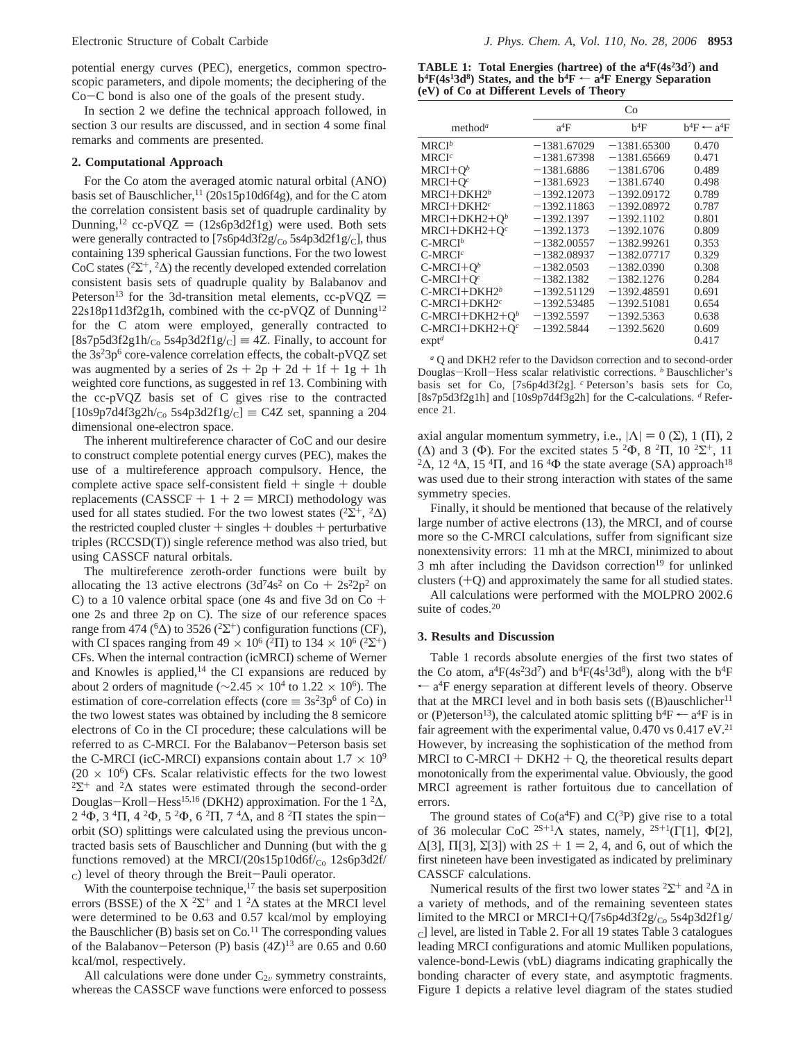potential energy curves (PEC), energetics, common spectroscopic parameters, and dipole moments; the deciphering of the Co-C bond is also one of the goals of the present study.

In section 2 we define the technical approach followed, in section 3 our results are discussed, and in section 4 some final remarks and comments are presented.

#### **2. Computational Approach**

For the Co atom the averaged atomic natural orbital (ANO) basis set of Bauschlicher,<sup>11</sup> (20s15p10d6f4g), and for the C atom the correlation consistent basis set of quadruple cardinality by Dunning,<sup>12</sup> cc-pVQZ =  $(12s6p3d2f1g)$  were used. Both sets were generally contracted to  $[7s6p4d3f2g/c<sub>o</sub>5s4p3d2f1g/c]$ , thus containing 139 spherical Gaussian functions. For the two lowest CoC states ( $2\sum^{+}$ ,  $2\Delta$ ) the recently developed extended correlation consistent basis sets of quadruple quality by Balabanov and Peterson<sup>13</sup> for the 3d-transition metal elements,  $cc$ -pVQZ = 22s18p11d3f2g1h, combined with the cc-pVQZ of Dunning12 for the C atom were employed, generally contracted to  $[8s7p5d3f2g1h/c<sub>o</sub> 5s4p3d2f1g/c] \equiv 4Z$ . Finally, to account for the  $3s<sup>2</sup>3p<sup>6</sup>$  core-valence correlation effects, the cobalt-pVQZ set was augmented by a series of  $2s + 2p + 2d + 1f + 1g + 1h$ weighted core functions, as suggested in ref 13. Combining with the cc-pVQZ basis set of C gives rise to the contracted  $[10s9p7d4f3g2h/c<sub>o</sub> 5s4p3d2f1g/c] \equiv C4Z$  set, spanning a 204 dimensional one-electron space.

The inherent multireference character of CoC and our desire to construct complete potential energy curves (PEC), makes the use of a multireference approach compulsory. Hence, the complete active space self-consistent field  $+$  single  $+$  double replacements (CASSCF  $+ 1 + 2 = MRCI$ ) methodology was used for all states studied. For the two lowest states ( ${}^{2}\Sigma^{+}$ ,  ${}^{2}\Delta$ ) the restricted coupled cluster  $+$  singles  $+$  doubles  $+$  perturbative triples (RCCSD(T)) single reference method was also tried, but using CASSCF natural orbitals.

The multireference zeroth-order functions were built by allocating the 13 active electrons (3d<sup>7</sup>4s<sup>2</sup> on Co + 2s<sup>2</sup>2p<sup>2</sup> on C) to a 10 valence orbital space (one 4s and five 3d on  $Co +$ one 2s and three 2p on C). The size of our reference spaces range from 474 ( ${}^6\Delta$ ) to 3526 ( ${}^{2}\Sigma^{+}$ ) configuration functions (CF), with CI spaces ranging from  $49 \times 10^6$  ( $^2$ Π) to  $134 \times 10^6$  ( $^2$ Σ<sup>+</sup>) CFs. When the internal contraction (icMRCI) scheme of Werner and Knowles is applied, $14$  the CI expansions are reduced by about 2 orders of magnitude ( $\sim$ 2.45 × 10<sup>4</sup> to 1.22 × 10<sup>6</sup>). The estimation of core-correlation effects (core  $\equiv 3s^23p^6$  of Co) in the two lowest states was obtained by including the 8 semicore electrons of Co in the CI procedure; these calculations will be referred to as C-MRCI. For the Balabanov-Peterson basis set the C-MRCI (icC-MRCI) expansions contain about  $1.7 \times 10^9$  (20  $\times$  10<sup>6</sup>) CFs. Scalar relativistic effects for the two lowest  $2\Sigma^+$  and  $2\Delta$  states were estimated through the second-order Douglas-Kroll-Hess<sup>15,16</sup> (DKH2) approximation. For the 1<sup>2</sup>Δ,  $2^{4}\Phi$ ,  $3^{4}\Pi$ ,  $4^{2}\Phi$ ,  $5^{2}\Phi$ ,  $6^{2}\Pi$ ,  $7^{4}\Delta$ , and  $8^{2}\Pi$  states the spinorbit (SO) splittings were calculated using the previous uncontracted basis sets of Bauschlicher and Dunning (but with the g functions removed) at the MRCI/ $(20s15p10d6f/_{Co} 12s6p3d2f/$ c) level of theory through the Breit-Pauli operator.

With the counterpoise technique, $17$  the basis set superposition errors (BSSE) of the X<sup>2</sup> $\Sigma$ <sup>+</sup> and 1<sup>2</sup> $\Delta$  states at the MRCI level were determined to be 0.63 and 0.57 kcal/mol by employing the Bauschlicher  $(B)$  basis set on  $Co<sup>11</sup>$  The corresponding values of the Balabanov-Peterson (P) basis  $(4Z)^{13}$  are 0.65 and 0.60 kcal/mol, respectively.

All calculations were done under  $C_{2v}$  symmetry constraints, whereas the CASSCF wave functions were enforced to possess

**TABLE 1: Total Energies (hartree) of the a4F(4s23d7) and**  $b^4F(4s^13d^8)$  States, and the  $b^4F \leftarrow a^4F$  Energy Separation **(eV) of Co at Different Levels of Theory**

|                                              |               | Co            |                        |
|----------------------------------------------|---------------|---------------|------------------------|
| method <sup>a</sup>                          | $a^4F$        | $b^4F$        | $b^4F \leftarrow a^4F$ |
| $\operatorname{MRCI}^b$                      | $-1381.67029$ | $-1381.65300$ | 0.470                  |
| $\mathsf{M}\mathsf{R}\mathrm{C}\mathsf{I}^c$ | $-1381.67398$ | $-1381.65669$ | 0.471                  |
| $MRCI+Qb$                                    | $-1381.6886$  | $-1381.6706$  | 0.489                  |
| MRCI+O $^c$                                  | $-1381.6923$  | $-1381.6740$  | 0.498                  |
| $MRCI+DKH2^b$                                | $-1392.12073$ | $-1392.09172$ | 0.789                  |
| MRCI+DKH2 $^c$                               | $-1392.11863$ | $-1392.08972$ | 0.787                  |
| MRCI+DKH2+O <sup>b</sup>                     | $-1392.1397$  | $-1392.1102$  | 0.801                  |
| MRCI+DKH2+O $^c$                             | $-1392.1373$  | $-1392.1076$  | 0.809                  |
| C-MRCI $^b$                                  | $-1382.00557$ | $-1382.99261$ | 0.353                  |
| $\operatorname{C-MRCI}^c$                    | $-1382.08937$ | $-1382.07717$ | 0.329                  |
| C-MRCI+O $^b$                                | $-1382.0503$  | $-1382.0390$  | 0.308                  |
| C-MRCI+O $^c$                                | $-1382.1382$  | $-1382.1276$  | 0.284                  |
| C-MRCI+DKH2 <sup>b</sup>                     | $-1392.51129$ | $-1392.48591$ | 0.691                  |
| C-MRCI+DKH2 $^c$                             | $-1392.53485$ | $-1392.51081$ | 0.654                  |
| C-MRCI+DKH2+Q <sup>b</sup>                   | $-1392.5597$  | $-1392.5363$  | 0.638                  |
| C-MRCI+DKH2+O $^c$                           | $-1392.5844$  | $-1392.5620$  | 0.609                  |
| $ext{ext}^d$                                 |               |               | 0.417                  |
|                                              |               |               |                        |

*<sup>a</sup>* Q and DKH2 refer to the Davidson correction and to second-order Douglas-Kroll-Hess scalar relativistic corrections. *<sup>b</sup>* Bauschlicher's basis set for Co, [7s6p4d3f2g]. *<sup>c</sup>* Peterson's basis sets for Co, [8s7p5d3f2g1h] and [10s9p7d4f3g2h] for the C-calculations. *<sup>d</sup>* Reference 21.

axial angular momentum symmetry, i.e.,  $|\Lambda| = 0$  (Σ), 1 (Π), 2 (Δ) and 3 (Φ). For the excited states 5 <sup>2</sup>Φ, 8 <sup>2</sup>Π, 10 <sup>2</sup>Σ<sup>+</sup>, 11 <sup>2</sup>Δ, 12<sup>4</sup>Δ, 15<sup>4</sup>Π, and 16<sup>4</sup>Φ the state average (SA) approach<sup>18</sup> was used due to their strong interaction with states of the same symmetry species.

Finally, it should be mentioned that because of the relatively large number of active electrons (13), the MRCI, and of course more so the C-MRCI calculations, suffer from significant size nonextensivity errors: 11 mh at the MRCI, minimized to about 3 mh after including the Davidson correction<sup>19</sup> for unlinked clusters  $(+Q)$  and approximately the same for all studied states.

All calculations were performed with the MOLPRO 2002.6 suite of codes.20

### **3. Results and Discussion**

Table 1 records absolute energies of the first two states of the Co atom,  $a^4F(4s^23d^7)$  and  $b^4F(4s^13d^8)$ , along with the  $b^4F$  $\leftarrow$  a<sup>4</sup>F energy separation at different levels of theory. Observe that at the MRCI level and in both basis sets  $((B)$ auschlicher<sup>11</sup> or (P)eterson<sup>13</sup>), the calculated atomic splitting  $b^4F \leftarrow a^4F$  is in fair agreement with the experimental value,  $0.470$  vs  $0.417$  eV.<sup>21</sup> However, by increasing the sophistication of the method from MRCI to  $C-MRCI + DKH2 + Q$ , the theoretical results depart monotonically from the experimental value. Obviously, the good MRCI agreement is rather fortuitous due to cancellation of errors.

The ground states of  $Co(a<sup>4</sup>F)$  and  $C(<sup>3</sup>P)$  give rise to a total of 36 molecular CoC <sup>2S+1</sup> $\Lambda$  states, namely, <sup>2S+1</sup>(Γ[1], Φ[2],  $\Delta[3]$ ,  $\Pi[3]$ ,  $\Sigma[3]$ ) with  $2S + 1 = 2$ , 4, and 6, out of which the first nineteen have been investigated as indicated by preliminary CASSCF calculations.

Numerical results of the first two lower states  ${}^{2}\Sigma^{+}$  and  ${}^{2}\Delta$  in a variety of methods, and of the remaining seventeen states limited to the MRCI or MRCI+Q/[7s6p4d3f2g/co 5s4p3d2f1g/ C] level, are listed in Table 2. For all 19 states Table 3 catalogues leading MRCI configurations and atomic Mulliken populations, valence-bond-Lewis (vbL) diagrams indicating graphically the bonding character of every state, and asymptotic fragments. Figure 1 depicts a relative level diagram of the states studied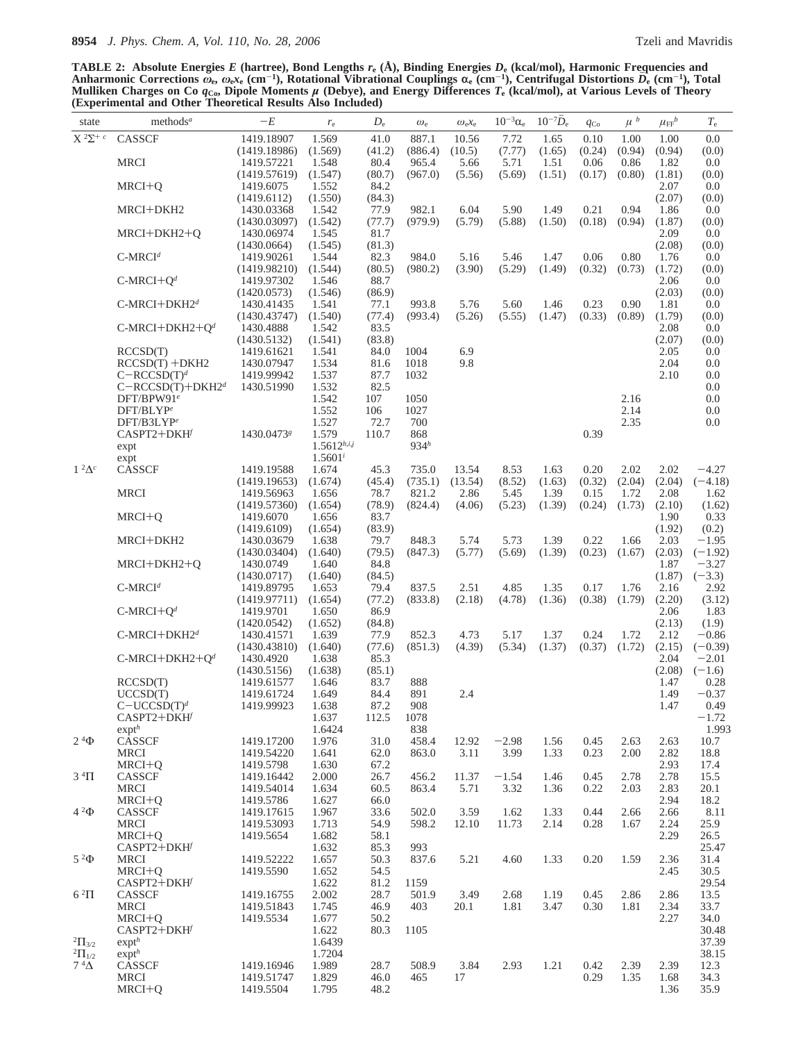**TABLE 2: Absolute Energies** *E* **(hartree), Bond Lengths** *r***<sup>e</sup> (Å), Binding Energies** *D***<sup>e</sup> (kcal/mol), Harmonic Frequencies and** Anharmonic Corrections  $\bar{\omega}_{\rm e},\,\omega_{\rm e}\mathrm{r_{e}}$  (cm<sup>-1</sup>), Rotational Vibrational Couplings  $\alpha_{\rm e}$  (cm<sup>-1</sup>), Centrifugal Distortions  $\bar{D_{\rm e}}$  (cm<sup>-1</sup>), Total<br>Mulliken Charges on Co  $q_{\rm Co}$ , Dipole Moments  $\mu$  (Deb **(Experimental and Other Theoretical Results Also Included)**

| state             | methods <sup>a</sup>               | $-E$                       | $r_{\rm e}$      | $D_{\rm e}$    | $\omega_{\rm e}$ | $\omega_{e}x_{e}$ | $10^{-3}\alpha_e$ | $10^{-7}D_e$   | $q_{\text{Co}}$ | $\langle u \rangle^b$ | $\mu_{\text{FF}}^{\phantom{\dagger}}$ | $T_{\rm e}$          |
|-------------------|------------------------------------|----------------------------|------------------|----------------|------------------|-------------------|-------------------|----------------|-----------------|-----------------------|---------------------------------------|----------------------|
| $X^2\Sigma^+$     | CASSCF                             | 1419.18907                 | 1.569            | 41.0           | 887.1            | 10.56             | 7.72              | 1.65           | 0.10            | 1.00                  | 1.00                                  | 0.0                  |
|                   |                                    | (1419.18986)               | (1.569)          | (41.2)         | (886.4)          | (10.5)            | (7.77)            | (1.65)         | (0.24)          | (0.94)                | (0.94)                                | (0.0)                |
|                   | <b>MRCI</b>                        | 1419.57221                 | 1.548            | 80.4           | 965.4            | 5.66              | 5.71              | 1.51           | 0.06            | 0.86                  | 1.82                                  | 0.0                  |
|                   | MRCI+O                             | (1419.57619)<br>1419.6075  | (1.547)<br>1.552 | (80.7)<br>84.2 | (967.0)          | (5.56)            | (5.69)            | (1.51)         | (0.17)          | (0.80)                | (1.81)<br>2.07                        | (0.0)<br>0.0         |
|                   |                                    | (1419.6112)                | (1.550)          | (84.3)         |                  |                   |                   |                |                 |                       | (2.07)                                | (0.0)                |
|                   | MRCI+DKH2                          | 1430.03368                 | 1.542            | 77.9           | 982.1            | 6.04              | 5.90              | 1.49           | 0.21            | 0.94                  | 1.86                                  | 0.0                  |
|                   |                                    | (1430.03097)               | (1.542)          | (77.7)         | (979.9)          | (5.79)            | (5.88)            | (1.50)         | (0.18)          | (0.94)                | (1.87)                                | (0.0)                |
|                   | MRCI+DKH2+Q                        | 1430.06974<br>(1430.0664)  | 1.545<br>(1.545) | 81.7<br>(81.3) |                  |                   |                   |                |                 |                       | 2.09<br>(2.08)                        | 0.0<br>(0.0)         |
|                   | $C-MRCId$                          | 1419.90261                 | 1.544            | 82.3           | 984.0            | 5.16              | 5.46              | 1.47           | 0.06            | 0.80                  | 1.76                                  | 0.0                  |
|                   |                                    | (1419.98210)               | (1.544)          | (80.5)         | (980.2)          | (3.90)            | (5.29)            | (1.49)         | (0.32)          | (0.73)                | (1.72)                                | (0.0)                |
|                   | $C-MRCI+Qd$                        | 1419.97302                 | 1.546            | 88.7           |                  |                   |                   |                |                 |                       | 2.06                                  | 0.0                  |
|                   | $C-MRCI+DKH2d$                     | (1420.0573)<br>1430.41435  | (1.546)<br>1.541 | (86.9)<br>77.1 | 993.8            | 5.76              | 5.60              |                | 0.23            | 0.90                  | (2.03)<br>1.81                        | (0.0)<br>0.0         |
|                   |                                    | (1430.43747)               | (1.540)          | (77.4)         | (993.4)          | (5.26)            | (5.55)            | 1.46<br>(1.47) | (0.33)          | (0.89)                | (1.79)                                | (0.0)                |
|                   | C-MRCI+DKH2+ $Qd$                  | 1430.4888                  | 1.542            | 83.5           |                  |                   |                   |                |                 |                       | 2.08                                  | 0.0                  |
|                   |                                    | (1430.5132)                | (1.541)          | (83.8)         |                  |                   |                   |                |                 |                       | (2.07)                                | (0.0)                |
|                   | RCCSD(T)                           | 1419.61621                 | 1.541            | 84.0           | 1004             | 6.9               |                   |                |                 |                       | 2.05                                  | 0.0                  |
|                   | $RCCSD(T) + DKH2$<br>$C-RCCSD(T)d$ | 1430.07947<br>1419.99942   | 1.534<br>1.537   | 81.6<br>87.7   | 1018<br>1032     | 9.8               |                   |                |                 |                       | 2.04<br>2.10                          | 0.0<br>0.0           |
|                   | $C-RCCSD(T)+DKH2^d$                | 1430.51990                 | 1.532            | 82.5           |                  |                   |                   |                |                 |                       |                                       | 0.0                  |
|                   | DFT/BPW91 <sup>e</sup>             |                            | 1.542            | 107            | 1050             |                   |                   |                |                 | 2.16                  |                                       | 0.0                  |
|                   | DFT/BLYP <sup>e</sup>              |                            | 1.552            | 106            | 1027             |                   |                   |                |                 | 2.14                  |                                       | 0.0                  |
|                   | DFT/B3LYPe<br>CASPT2+DKH           | 1430.04738                 | 1.527<br>1.579   | 72.7<br>110.7  | 700<br>868       |                   |                   |                | 0.39            | 2.35                  |                                       | 0.0                  |
|                   | expt                               |                            | $1.5612^{h,i,j}$ |                | 934 <sup>h</sup> |                   |                   |                |                 |                       |                                       |                      |
|                   | expt                               |                            | $1.5601^{i}$     |                |                  |                   |                   |                |                 |                       |                                       |                      |
| $1^2\Delta^c$     | <b>CASSCF</b>                      | 1419.19588                 | 1.674            | 45.3           | 735.0            | 13.54             | 8.53              | 1.63           | 0.20            | 2.02                  | 2.02                                  | $-4.27$              |
|                   | <b>MRCI</b>                        | (1419.19653)<br>1419.56963 | (1.674)<br>1.656 | (45.4)<br>78.7 | (735.1)<br>821.2 | (13.54)<br>2.86   | (8.52)<br>5.45    | (1.63)<br>1.39 | (0.32)<br>0.15  | (2.04)<br>1.72        | (2.04)<br>2.08                        | $(-4.18)$            |
|                   |                                    | (1419.57360)               | (1.654)          | (78.9)         | (824.4)          | (4.06)            | (5.23)            | (1.39)         | (0.24)          | (1.73)                | (2.10)                                | 1.62<br>(1.62)       |
|                   | MRCI+Q                             | 1419.6070                  | 1.656            | 83.7           |                  |                   |                   |                |                 |                       | 1.90                                  | 0.33                 |
|                   |                                    | (1419.6109)                | (1.654)          | (83.9)         |                  |                   |                   |                |                 |                       | (1.92)                                | (0.2)                |
|                   | MRCI+DKH2                          | 1430.03679                 | 1.638            | 79.7           | 848.3            | 5.74              | 5.73              | 1.39           | 0.22            | 1.66                  | 2.03                                  | $-1.95$              |
|                   | MRCI+DKH2+Q                        | (1430.03404)<br>1430.0749  | (1.640)<br>1.640 | (79.5)<br>84.8 | (847.3)          | (5.77)            | (5.69)            | (1.39)         | (0.23)          | (1.67)                | (2.03)<br>1.87                        | $(-1.92)$<br>$-3.27$ |
|                   |                                    | (1430.0717)                | (1.640)          | (84.5)         |                  |                   |                   |                |                 |                       | (1.87)                                | $(-3.3)$             |
|                   | $C$ -MRCI <sup>d</sup>             | 1419.89795                 | 1.653            | 79.4           | 837.5            | 2.51              | 4.85              | 1.35           | 0.17            | 1.76                  | 2.16                                  | 2.92                 |
|                   |                                    | (1419.97711)               | (1.654)          | (77.2)         | (833.8)          | (2.18)            | (4.78)            | (1.36)         | (0.38)          | (1.79)                | (2.20)                                | (3.12)               |
|                   | $C-MRCI+Qd$                        | 1419.9701<br>(1420.0542)   | 1.650<br>(1.652) | 86.9<br>(84.8) |                  |                   |                   |                |                 |                       | 2.06<br>(2.13)                        | 1.83<br>(1.9)        |
|                   | C-MRCI+DKH2d                       | 1430.41571                 | 1.639            | 77.9           | 852.3            | 4.73              | 5.17              | 1.37           | 0.24            | 1.72                  | 2.12                                  | $-0.86$              |
|                   |                                    | (1430.43810)               | (1.640)          | (77.6)         | (851.3)          | (4.39)            | (5.34)            | (1.37)         | (0.37)          | (1.72)                | (2.15)                                | $(-0.39)$            |
|                   | $C-MRCI+DKH2+Qd$                   | 1430.4920                  | 1.638            | 85.3           |                  |                   |                   |                |                 |                       | 2.04                                  | $-2.01$              |
|                   | RCCSD(T)                           | (1430.5156)<br>1419.61577  | (1.638)<br>1.646 | (85.1)<br>83.7 | 888              |                   |                   |                |                 |                       | (2.08)<br>1.47                        | $(-1.6)$<br>0.28     |
|                   | UCCSD(T)                           | 1419.61724                 | 1.649            | 84.4           | 891              | 2.4               |                   |                |                 |                       | 1.49                                  | $-0.37$              |
|                   | $C-UCCSD(T)^d$                     | 1419.99923                 | 1.638            | 87.2           | 908              |                   |                   |                |                 |                       | 1.47                                  | 0.49                 |
|                   | CASPT2+DKH                         |                            | 1.637            | 112.5          | 1078             |                   |                   |                |                 |                       |                                       | $-1.72$              |
| $2^4\Phi$         | exp <sup>h</sup><br>CASSCF         | 1419.17200                 | 1.6424<br>1.976  | 31.0           | 838<br>458.4     | 12.92             | $-2.98$           | 1.56           | 0.45            | 2.63                  | 2.63                                  | 1.993<br>10.7        |
|                   | <b>MRCI</b>                        | 1419.54220                 | 1.641            | 62.0           | 863.0            | 3.11              | 3.99              | 1.33           | 0.23            | 2.00                  | 2.82                                  | 18.8                 |
|                   | $MRCI+Q$                           | 1419.5798                  | 1.630            | 67.2           |                  |                   |                   |                |                 |                       | 2.93                                  | 17.4                 |
| $3 \text{ }^4\Pi$ | <b>CASSCF</b>                      | 1419.16442                 | 2.000            | 26.7           | 456.2            | 11.37             | $-1.54$           | 1.46           | 0.45            | 2.78                  | 2.78                                  | 15.5                 |
|                   | <b>MRCI</b><br>$MRCI+Q$            | 1419.54014<br>1419.5786    | 1.634<br>1.627   | 60.5<br>66.0   | 863.4            | 5.71              | 3.32              | 1.36           | 0.22            | 2.03                  | 2.83<br>2.94                          | 20.1<br>18.2         |
| $4^2\Phi$         | CASSCF                             | 1419.17615                 | 1.967            | 33.6           | 502.0            | 3.59              | 1.62              | 1.33           | 0.44            | 2.66                  | 2.66                                  | 8.11                 |
|                   | <b>MRCI</b>                        | 1419.53093                 | 1.713            | 54.9           | 598.2            | 12.10             | 11.73             | 2.14           | 0.28            | 1.67                  | 2.24                                  | 25.9                 |
|                   | MRCI+O                             | 1419.5654                  | 1.682            | 58.1           |                  |                   |                   |                |                 |                       | 2.29                                  | 26.5                 |
| $5^{2}\Phi$       | CASPT2+DKH<br>MRCI                 | 1419.52222                 | 1.632<br>1.657   | 85.3<br>50.3   | 993<br>837.6     | 5.21              | 4.60              | 1.33           | 0.20            | 1.59                  | 2.36                                  | 25.47<br>31.4        |
|                   | MRCI+Q                             | 1419.5590                  | 1.652            | 54.5           |                  |                   |                   |                |                 |                       | 2.45                                  | 30.5                 |
|                   | CASPT2+DKH                         |                            | 1.622            | 81.2           | 1159             |                   |                   |                |                 |                       |                                       | 29.54                |
| $6\sqrt[2]{11}$   | CASSCF                             | 1419.16755                 | 2.002            | 28.7           | 501.9            | 3.49              | 2.68              | 1.19           | 0.45            | 2.86                  | 2.86                                  | 13.5                 |
|                   | <b>MRCI</b>                        | 1419.51843                 | 1.745            | 46.9           | 403              | 20.1              | 1.81              | 3.47           | 0.30            | 1.81                  | 2.34                                  | 33.7                 |
|                   | MRCI+Q<br>CASPT2+DKH               | 1419.5534                  | 1.677<br>1.622   | 50.2<br>80.3   | 1105             |                   |                   |                |                 |                       | 2.27                                  | 34.0<br>30.48        |
| $^{2}\Pi_{3/2}$   | exp <sup>h</sup>                   |                            | 1.6439           |                |                  |                   |                   |                |                 |                       |                                       | 37.39                |
| ${}^{2}\Pi_{1/2}$ | $expt^h$                           |                            | 1.7204           |                |                  |                   |                   |                |                 |                       |                                       | 38.15                |
| $7^4\Delta$       | CASSCF                             | 1419.16946                 | 1.989            | 28.7           | 508.9            | 3.84              | 2.93              | 1.21           | 0.42            | 2.39                  | 2.39                                  | 12.3                 |
|                   | <b>MRCI</b><br>MRCI+Q              | 1419.51747<br>1419.5504    | 1.829<br>1.795   | 46.0<br>48.2   | 465              | 17                |                   |                | 0.29            | 1.35                  | 1.68<br>1.36                          | 34.3<br>35.9         |
|                   |                                    |                            |                  |                |                  |                   |                   |                |                 |                       |                                       |                      |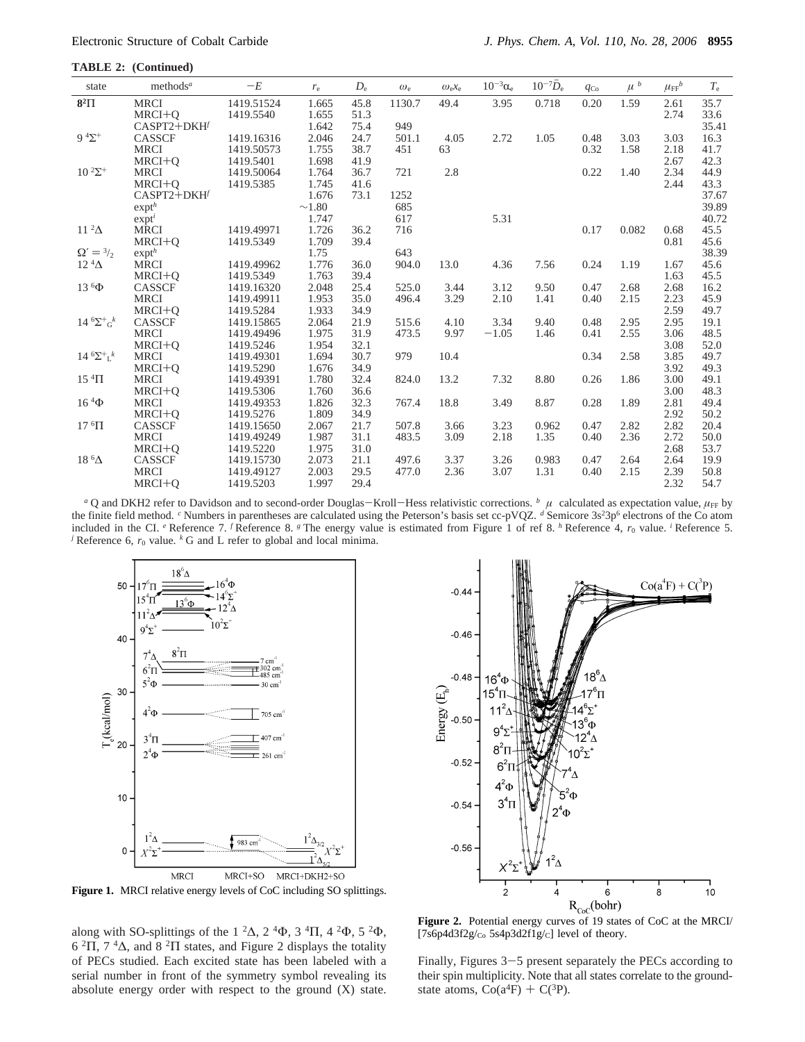**TABLE 2: (Continued)**

| state                                | methods <sup>a</sup> | $-E$       | $r_{\rm e}$ | $D_{\rm e}$ | $\omega_{\rm e}$ | $\omega_{e}x_{e}$ | $10^{-3}\alpha_e$ | $10^{-7} \overline{D}_e$ | $q_{\text{Co}}$ | $\langle u \rangle^b$ | $\mu_{\text{FF}}^{\phantom{\dagger}}$ | $T_{\rm e}$ |
|--------------------------------------|----------------------|------------|-------------|-------------|------------------|-------------------|-------------------|--------------------------|-----------------|-----------------------|---------------------------------------|-------------|
| $8^2\Pi$                             | <b>MRCI</b>          | 1419.51524 | 1.665       | 45.8        | 1130.7           | 49.4              | 3.95              | 0.718                    | 0.20            | 1.59                  | 2.61                                  | 35.7        |
|                                      | $MRCI+Q$             | 1419.5540  | 1.655       | 51.3        |                  |                   |                   |                          |                 |                       | 2.74                                  | 33.6        |
|                                      | CASPT2+DKH           |            | 1.642       | 75.4        | 949              |                   |                   |                          |                 |                       |                                       | 35.41       |
| $9 \frac{4}{5}$                      | CASSCF               | 1419.16316 | 2.046       | 24.7        | 501.1            | 4.05              | 2.72              | 1.05                     | 0.48            | 3.03                  | 3.03                                  | 16.3        |
|                                      | <b>MRCI</b>          | 1419.50573 | 1.755       | 38.7        | 451              | 63                |                   |                          | 0.32            | 1.58                  | 2.18                                  | 41.7        |
|                                      | $MRCI+O$             | 1419.5401  | 1.698       | 41.9        |                  |                   |                   |                          |                 |                       | 2.67                                  | 42.3        |
| $10^{2\Sigma^+}$                     | <b>MRCI</b>          | 1419.50064 | 1.764       | 36.7        | 721              | 2.8               |                   |                          | 0.22            | 1.40                  | 2.34                                  | 44.9        |
|                                      | $MRCI+Q$             | 1419.5385  | 1.745       | 41.6        |                  |                   |                   |                          |                 |                       | 2.44                                  | 43.3        |
|                                      | CASPT2+DKH           |            | 1.676       | 73.1        | 1252             |                   |                   |                          |                 |                       |                                       | 37.67       |
|                                      | exp <sup>h</sup>     |            | $\sim$ 1.80 |             | 685              |                   |                   |                          |                 |                       |                                       | 39.89       |
|                                      | $exp t^i$            |            | 1.747       |             | 617              |                   | 5.31              |                          |                 |                       |                                       | 40.72       |
| $11^{2}\Delta$                       | <b>MRCI</b>          | 1419.49971 | 1.726       | 36.2        | 716              |                   |                   |                          | 0.17            | 0.082                 | 0.68                                  | 45.5        |
|                                      | $MRCI + O$           | 1419.5349  | 1.709       | 39.4        |                  |                   |                   |                          |                 |                       | 0.81                                  | 45.6        |
| $\Omega' = \frac{3}{2}$              | exp <sup>h</sup>     |            | 1.75        |             | 643              |                   |                   |                          |                 |                       |                                       | 38.39       |
| $12 \frac{4}{\Delta}$                | <b>MRCI</b>          | 1419.49962 | 1.776       | 36.0        | 904.0            | 13.0              | 4.36              | 7.56                     | 0.24            | 1.19                  | 1.67                                  | 45.6        |
|                                      | $MRCI+Q$             | 1419.5349  | 1.763       | 39.4        |                  |                   |                   |                          |                 |                       | 1.63                                  | 45.5        |
| $13\,{}^{6}\Phi$                     | <b>CASSCF</b>        | 1419.16320 | 2.048       | 25.4        | 525.0            | 3.44              | 3.12              | 9.50                     | 0.47            | 2.68                  | 2.68                                  | 16.2        |
|                                      | <b>MRCI</b>          | 1419.49911 | 1.953       | 35.0        | 496.4            | 3.29              | 2.10              | 1.41                     | 0.40            | 2.15                  | 2.23                                  | 45.9        |
|                                      | $MRCI+Q$             | 1419.5284  | 1.933       | 34.9        |                  |                   |                   |                          |                 |                       | 2.59                                  | 49.7        |
| $14 \, {}^{6}\Sigma^{+}{}_{6}{}^{k}$ | CASSCF               | 1419.15865 | 2.064       | 21.9        | 515.6            | 4.10              | 3.34              | 9.40                     | 0.48            | 2.95                  | 2.95                                  | 19.1        |
|                                      | <b>MRCI</b>          | 1419.49496 | 1.975       | 31.9        | 473.5            | 9.97              | $-1.05$           | 1.46                     | 0.41            | 2.55                  | 3.06                                  | 48.5        |
|                                      | $MRCI+O$             | 1419.5246  | 1.954       | 32.1        |                  |                   |                   |                          |                 |                       | 3.08                                  | 52.0        |
| 14 $^6\Sigma^+$ $^k$                 | <b>MRCI</b>          | 1419.49301 | 1.694       | 30.7        | 979              | 10.4              |                   |                          | 0.34            | 2.58                  | 3.85                                  | 49.7        |
|                                      | $MRCI+Q$             | 1419.5290  | 1.676       | 34.9        |                  |                   |                   |                          |                 |                       | 3.92                                  | 49.3        |
| $15 \text{ }^4\Pi$                   | <b>MRCI</b>          | 1419.49391 | 1.780       | 32.4        | 824.0            | 13.2              | 7.32              | 8.80                     | 0.26            | 1.86                  | 3.00                                  | 49.1        |
|                                      | $MRCI + O$           | 1419.5306  | 1.760       | 36.6        |                  |                   |                   |                          |                 |                       | 3.00                                  | 48.3        |
| $16\,4\Phi$                          | <b>MRCI</b>          | 1419.49353 | 1.826       | 32.3        | 767.4            | 18.8              | 3.49              | 8.87                     | 0.28            | 1.89                  | 2.81                                  | 49.4        |
|                                      | $MRCI + O$           | 1419.5276  | 1.809       | 34.9        |                  |                   |                   |                          |                 |                       | 2.92                                  | 50.2        |
| $17 \text{ }^6\Pi$                   | CASSCF               | 1419.15650 | 2.067       | 21.7        | 507.8            | 3.66              | 3.23              | 0.962                    | 0.47            | 2.82                  | 2.82                                  | 20.4        |
|                                      | <b>MRCI</b>          | 1419.49249 | 1.987       | 31.1        | 483.5            | 3.09              | 2.18              | 1.35                     | 0.40            | 2.36                  | 2.72                                  | 50.0        |
|                                      | $MRCI + O$           | 1419.5220  | 1.975       | 31.0        |                  |                   |                   |                          |                 |                       | 2.68                                  | 53.7        |
| 18 $6\Delta$                         | CASSCF               | 1419.15730 | 2.073       | 21.1        | 497.6            | 3.37              | 3.26              | 0.983                    | 0.47            | 2.64                  | 2.64                                  | 19.9        |
|                                      | <b>MRCI</b>          | 1419.49127 | 2.003       | 29.5        | 477.0            | 2.36              | 3.07              | 1.31                     | 0.40            | 2.15                  | 2.39                                  | 50.8        |
|                                      | $MRCI + O$           | 1419.5203  | 1.997       | 29.4        |                  |                   |                   |                          |                 |                       | 2.32                                  | 54.7        |
|                                      |                      |            |             |             |                  |                   |                   |                          |                 |                       |                                       |             |

*a* Q and DKH2 refer to Davidson and to second-order Douglas-Kroll-Hess relativistic corrections. *b*  $\langle \mu \rangle$  calculated as expectation value,  $\mu_{FF}$  by the finite field method. <sup>c</sup> Numbers in parentheses are calculated using the Peterson's basis set cc-pVQZ. *d* Semicore 3s<sup>2</sup>3p<sup>6</sup> electrons of the Co atom included in the CI. *<sup>e</sup>* Reference 7. *<sup>f</sup>* Reference 8. *<sup>g</sup>* The energy value is estimated from Figure 1 of ref 8. *<sup>h</sup>* Reference 4, *r*<sup>0</sup> value. *<sup>i</sup>* Reference 5. *j* Reference 6,  $r_0$  value.  $^k$  G and L refer to global and local minima.



**Figure 1.** MRCI relative energy levels of CoC including SO splittings.

along with SO-splittings of the 1<sup>2</sup> $\Delta$ , 2<sup>4</sup> $\Phi$ , 3<sup>4</sup> $\Pi$ , 4<sup>2</sup> $\Phi$ , 5<sup>2</sup> $\Phi$ ,  $6 \text{ }^2\Pi$ ,  $7 \text{ }^4\Delta$ , and  $8 \text{ }^2\Pi$  states, and Figure 2 displays the totality of PECs studied. Each excited state has been labeled with a serial number in front of the symmetry symbol revealing its absolute energy order with respect to the ground (X) state.



**Figure 2.** Potential energy curves of 19 states of CoC at the MRCI/ [7s6p4d3f2g/ $_{Co}$  5s4p3d2f1g/ $_{C}$ ] level of theory.

Finally, Figures 3-5 present separately the PECs according to their spin multiplicity. Note that all states correlate to the groundstate atoms,  $Co(a<sup>4</sup>F) + C(<sup>3</sup>P)$ .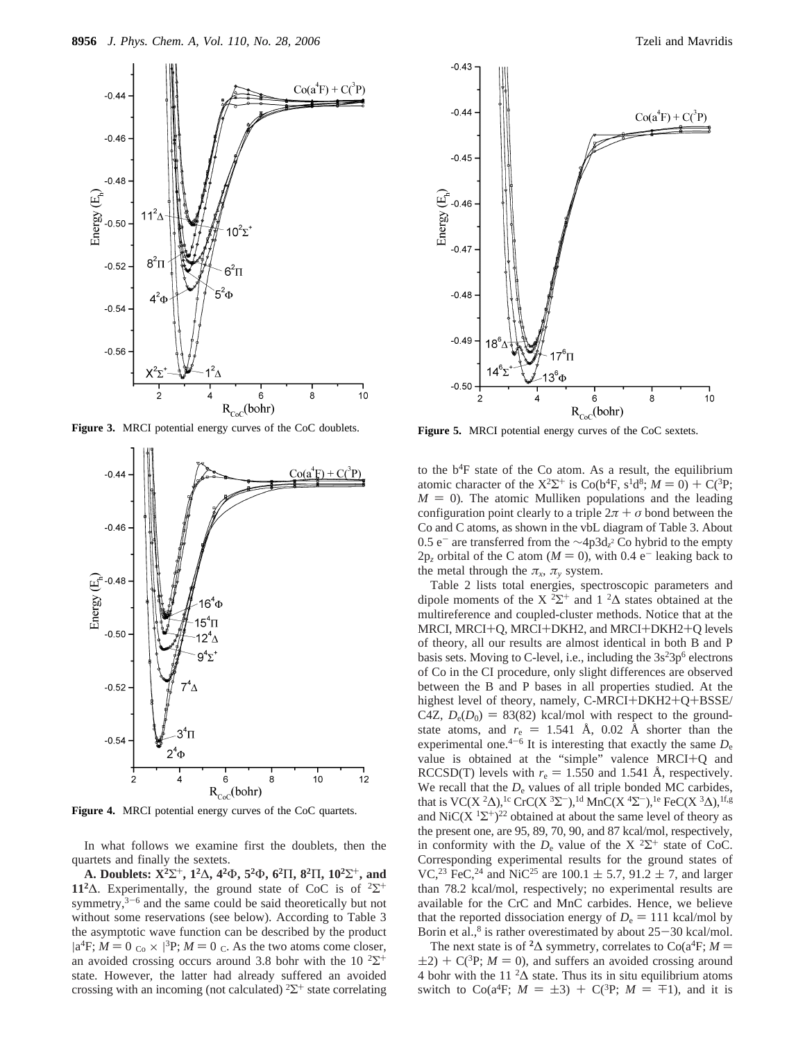

**Figure 3.** MRCI potential energy curves of the CoC doublets.



**Figure 4.** MRCI potential energy curves of the CoC quartets.

In what follows we examine first the doublets, then the quartets and finally the sextets.

**A. Doublets: X2**Σ+**, 12**∆**, 42**Φ**, 52**Φ**, 62**Π**, 82**Π**, 102**Σ+**, and 11<sup>2</sup>∆.** Experimentally, the ground state of CoC is of <sup>2</sup> $\Sigma$ <sup>+</sup> symmetry, $3-6$  and the same could be said theoretically but not without some reservations (see below). According to Table 3 the asymptotic wave function can be described by the product  $|a^4F$ ;  $M = 0$ <sub>co</sub>  $\times$   $|^3P$ ;  $M = 0$ <sub>c</sub>. As the two atoms come closer, an avoided crossing occurs around 3.8 bohr with the 10  $2\Sigma^+$ state. However, the latter had already suffered an avoided crossing with an incoming (not calculated)  $2\Sigma^+$  state correlating



**Figure 5.** MRCI potential energy curves of the CoC sextets.

to the  $b<sup>4</sup>F$  state of the Co atom. As a result, the equilibrium atomic character of the  $X^2\Sigma^+$  is Co(b<sup>4</sup>F, s<sup>1</sup>d<sup>8</sup>;  $M = 0$ ) + C(<sup>3</sup>P;  $M = 0$ ). The atomic Mulliken populations and the leading configuration point clearly to a triple  $2\pi + \sigma$  bond between the Co and C atoms, as shown in the vbL diagram of Table 3. About 0.5 e<sup>-</sup> are transferred from the ∼4p3d<sub>*z*</sub><sup>2</sup> Co hybrid to the empty  $2p_z$  orbital of the C atom ( $M = 0$ ), with 0.4 e<sup>-</sup> leaking back to the metal through the  $\pi_x$ ,  $\pi_y$  system.

Table 2 lists total energies, spectroscopic parameters and dipole moments of the X  $2\Sigma^+$  and 1  $2\Delta$  states obtained at the multireference and coupled-cluster methods. Notice that at the MRCI, MRCI+Q, MRCI+DKH2, and MRCI+DKH2+Q levels of theory, all our results are almost identical in both B and P basis sets. Moving to C-level, i.e., including the  $3s<sup>2</sup>3p<sup>6</sup>$  electrons of Co in the CI procedure, only slight differences are observed between the B and P bases in all properties studied. At the highest level of theory, namely, C-MRCI+DKH2+Q+BSSE/ C4Z,  $D_e(D_0) = 83(82)$  kcal/mol with respect to the groundstate atoms, and  $r_e = 1.541$  Å, 0.02 Å shorter than the experimental one.<sup>4-6</sup> It is interesting that exactly the same  $D_e$ value is obtained at the "simple" valence MRCI+Q and RCCSD(T) levels with  $r_e = 1.550$  and 1.541 Å, respectively. We recall that the  $D<sub>e</sub>$  values of all triple bonded MC carbides, that is VC(X <sup>2</sup> $\Delta$ ),<sup>1c</sup> CrC(X <sup>3</sup> $\Sigma$ <sup>-</sup>),<sup>1d</sup> MnC(X <sup>4</sup> $\Sigma$ <sup>-</sup>),<sup>1e</sup> FeC(X <sup>3</sup> $\Delta$ ),<sup>1f,g</sup> and NiC(X  $1\Sigma^{+}$ )<sup>22</sup> obtained at about the same level of theory as the present one, are 95, 89, 70, 90, and 87 kcal/mol, respectively, in conformity with the  $D_e$  value of the X <sup>2</sup>Σ<sup>+</sup> state of CoC. Corresponding experimental results for the ground states of VC,<sup>23</sup> FeC,<sup>24</sup> and NiC<sup>25</sup> are 100.1  $\pm$  5.7, 91.2  $\pm$  7, and larger than 78.2 kcal/mol, respectively; no experimental results are available for the CrC and MnC carbides. Hence, we believe that the reported dissociation energy of  $D_e = 111$  kcal/mol by Borin et al.,<sup>8</sup> is rather overestimated by about  $25-30$  kcal/mol.

The next state is of <sup>2</sup> $\Delta$  symmetry, correlates to Co(a<sup>4</sup>F; *M* =  $(2+2) + C^{3}P$ ; *M* = 0), and suffers an avoided crossing around 4 bohr with the 11  ${}^{2}\Delta$  state. Thus its in situ equilibrium atoms switch to Co(a<sup>4</sup>F;  $M = \pm 3$ ) + C(<sup>3</sup>P;  $M = \mp 1$ ), and it is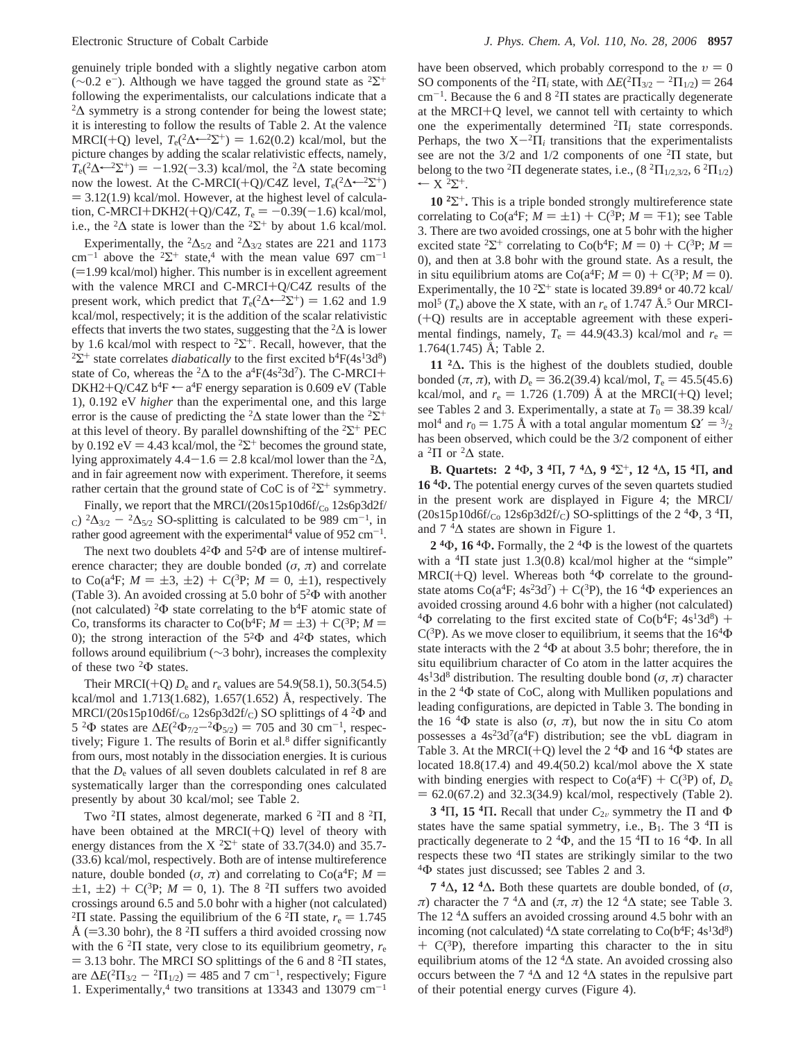genuinely triple bonded with a slightly negative carbon atom ( $\sim$ 0.2 e<sup>-</sup>). Although we have tagged the ground state as <sup>2</sup>Σ<sup>+</sup> following the experimentalists, our calculations indicate that a  $2\Delta$  symmetry is a strong contender for being the lowest state; it is interesting to follow the results of Table 2. At the valence MRCI(+Q) level,  $T_e(^2\Delta \leftarrow {}^{2}\Sigma^{+}) = 1.62(0.2)$  kcal/mol, but the picture changes by adding the scalar relativistic effects, namely,  $T_e(2\Delta \leftarrow 2\Sigma^+) = -1.92(-3.3)$  kcal/mol, the <sup>2</sup> $\Delta$  state becoming now the lowest. At the C-MRCI(+Q)/C4Z level,  $T_e(^2\Delta \leftarrow ^2\Sigma^+)$  $=$  3.12(1.9) kcal/mol. However, at the highest level of calculation, C-MRCI+DKH2(+Q)/C4Z,  $T_e = -0.39(-1.6)$  kcal/mol, i.e., the <sup>2</sup> $\Delta$  state is lower than the <sup>2</sup> $\Sigma$ <sup>+</sup> by about 1.6 kcal/mol.

Experimentally, the <sup>2</sup>∆<sub>5/2</sub> and <sup>2</sup>∆<sub>3/2</sub> states are 221 and 1173 cm<sup>-1</sup> above the <sup>2</sup> $\Sigma$ <sup>+</sup> state,<sup>4</sup> with the mean value 697 cm<sup>-1</sup>  $(=1.99 \text{ kcal/mol})$  higher. This number is in excellent agreement with the valence MRCI and C-MRCI+Q/C4Z results of the present work, which predict that  $T_e(2\Delta \leftarrow 2\Sigma^+) = 1.62$  and 1.9 kcal/mol, respectively; it is the addition of the scalar relativistic effects that inverts the two states, suggesting that the  ${}^{2}\Delta$  is lower by 1.6 kcal/mol with respect to <sup>2</sup> $\Sigma^+$ . Recall, however, that the <sup>2</sup>Σ<sup>+</sup> state correlates *diabatically* to the first excited b<sup>4</sup>F(4s<sup>1</sup>3d<sup>8</sup>) state of Co, whereas the <sup>2</sup> $\Delta$  to the a<sup>4</sup>F(4s<sup>2</sup>3d<sup>7</sup>). The C-MRCI+ DKH2+Q/C4Z  $b^4F \leftarrow a^4F$  energy separation is 0.609 eV (Table 1), 0.192 eV *higher* than the experimental one, and this large error is the cause of predicting the <sup>2</sup>∆ state lower than the <sup>2</sup>Σ<sup>+</sup> at this level of theory. By parallel downshifting of the <sup>2</sup>Σ<sup>+</sup> PEC by 0.192 eV = 4.43 kcal/mol, the <sup>2</sup>Σ<sup>+</sup> becomes the ground state, lying approximately 4.4-1.6 = 2.8 kcal/mol lower than the <sup>2</sup>∆, and in fair agreement now with experiment. Therefore, it seems rather certain that the ground state of CoC is of  ${}^{2}\Sigma^{+}$  symmetry.

Finally, we report that the MRCI/(20s15p10d6f/ $_{\text{Co}}$  12s6p3d2f/ c)  ${}^{2}\Delta_{3/2} - {}^{2}\Delta_{5/2}$  SO-splitting is calculated to be 989 cm<sup>-1</sup>, in rather good agreement with the experimental<sup>4</sup> value of  $952 \text{ cm}^{-1}$ .

The next two doublets  $4^2\Phi$  and  $5^2\Phi$  are of intense multireference character; they are double bonded ( $\sigma$ ,  $\pi$ ) and correlate to  $Co(a^{4}F; M = \pm 3, \pm 2) + C(^{3}P; M = 0, \pm 1)$ , respectively (Table 3). An avoided crossing at 5.0 bohr of  $5^2\Phi$  with another (not calculated) <sup>2</sup> $\Phi$  state correlating to the b<sup>4</sup>F atomic state of Co, transforms its character to  $Co(b<sup>4</sup>F; M = \pm 3) + C(^{3}P; M =$ 0); the strong interaction of the  $5^2\Phi$  and  $4^2\Phi$  states, which follows around equilibrium (∼3 bohr), increases the complexity of these two <sup>2</sup>Φ states.

Their MRCI(+Q)  $D_e$  and  $r_e$  values are 54.9(58.1), 50.3(54.5) kcal/mol and 1.713(1.682), 1.657(1.652) Å, respectively. The  $MRCI/(20s15p10d6f/_{Co} 12s6p3d2f/_{C})$  SO splittings of 4 <sup>2</sup> $\Phi$  and 5 <sup>2</sup>Φ states are  $\Delta E(^{2}Φ_{7/2} - {}^{2}Φ_{5/2})$  = 705 and 30 cm<sup>-1</sup>, respectively; Figure 1. The results of Borin et al.<sup>8</sup> differ significantly from ours, most notably in the dissociation energies. It is curious that the  $D<sub>e</sub>$  values of all seven doublets calculated in ref  $8$  are systematically larger than the corresponding ones calculated presently by about 30 kcal/mol; see Table 2.

Two <sup>2</sup>Π states, almost degenerate, marked 6 <sup>2</sup>Π and 8 <sup>2</sup>Π, have been obtained at the MRCI $(+Q)$  level of theory with energy distances from the  $X^2\Sigma^+$  state of 33.7(34.0) and 35.7-(33.6) kcal/mol, respectively. Both are of intense multireference nature, double bonded ( $\sigma$ ,  $\pi$ ) and correlating to Co( $a^4$ F;  $M =$  $\pm 1, \pm 2$ ) + C(<sup>3</sup>P; *M* = 0, 1). The 8<sup>2</sup> $\Pi$  suffers two avoided crossings around 6.5 and 5.0 bohr with a higher (not calculated) <sup>2</sup>Π state. Passing the equilibrium of the 6<sup>2</sup>Π state,  $r_e = 1.745$ Å (=3.30 bohr), the 8 <sup>2</sup>Π suffers a third avoided crossing now with the 6<sup>2</sup> $\Pi$  state, very close to its equilibrium geometry,  $r_e$  $=$  3.13 bohr. The MRCI SO splittings of the 6 and 8 <sup>2</sup> $\Pi$  states, are  $\Delta E(^{2}\Pi_{3/2} - ^{2}\Pi_{1/2}) = 485$  and 7 cm<sup>-1</sup>, respectively; Figure 1. Experimentally,<sup>4</sup> two transitions at 13343 and 13079 cm<sup>-1</sup> have been observed, which probably correspond to the  $v = 0$ SO components of the <sup>2</sup> $\Pi_i$  state, with  $\Delta E(^2\Pi_{3/2} - ^2\Pi_{1/2}) = 264$  $cm^{-1}$ . Because the 6 and 8<sup>2</sup> $\Pi$  states are practically degenerate at the MRCI+Q level, we cannot tell with certainty to which one the experimentally determined <sup>2</sup>Π*<sup>i</sup>* state corresponds. Perhaps, the two  $X^{-2}\Pi_i$  transitions that the experimentalists see are not the  $3/2$  and  $1/2$  components of one  $2\Pi$  state, but belong to the two <sup>2</sup>Π degenerate states, i.e.,  $(8 \text{ }^2\Pi_{1/2,3/2}, 6 \text{ }^2\Pi_{1/2})$  $\leftarrow$  X  $^2\Sigma^+$ .

**10 <sup>2</sup>**Σ+**.** This is a triple bonded strongly multireference state correlating to  $\text{Co}(a^4F; M = \pm 1) + \text{C}(3P; M = \mp 1)$ ; see Table 3. There are two avoided crossings, one at 5 bohr with the higher excited state <sup>2</sup>Σ<sup>+</sup> correlating to Co(b<sup>4</sup>F; *M* = 0) + C(<sup>3</sup>P; *M* = 0), and then at 3.8 bohr with the ground state. As a result, the in situ equilibrium atoms are  $\text{Co}(a^4F; M = 0) + \text{C}(3P; M = 0)$ . Experimentally, the  $10^{2} \Sigma^{+}$  state is located 39.89<sup>4</sup> or 40.72 kcal/ mol<sup>5</sup> ( $T_e$ ) above the X state, with an  $r_e$  of 1.747 Å.<sup>5</sup> Our MRCI-(+Q) results are in acceptable agreement with these experimental findings, namely,  $T_e = 44.9(43.3)$  kcal/mol and  $r_e$ 1.764(1.745) Å; Table 2.

**11 <sup>2</sup>**∆**.** This is the highest of the doublets studied, double bonded  $(\pi, \pi)$ , with  $D_e = 36.2(39.4)$  kcal/mol,  $T_e = 45.5(45.6)$ kcal/mol, and  $r_e = 1.726$  (1.709) Å at the MRCI(+Q) level; see Tables 2 and 3. Experimentally, a state at  $T_0 = 38.39$  kcal/ mol<sup>4</sup> and  $r_0 = 1.75$  Å with a total angular momentum  $\Omega' = \frac{3}{2}$ has been observed, which could be the 3/2 component of either a  ${}^{2}\Pi$  or  ${}^{2}\Delta$  state.

**B. Quartets: 2 <sup>4</sup>**Φ**, 3 <sup>4</sup>**Π**, 7 <sup>4</sup>**∆**, 9 <sup>4</sup>**Σ+**, 12 <sup>4</sup>**∆**, 15 <sup>4</sup>**Π**, and 16 <sup>4</sup>**Φ**.** The potential energy curves of the seven quartets studied in the present work are displayed in Figure 4; the MRCI/  $(20s15p10d6f/c<sub>o</sub> 12s6p3d2f/c)$  SO-splittings of the 2<sup>4</sup> $\Phi$ , 3<sup>4</sup> $\Pi$ , and  $7 \text{ }^4\Delta$  states are shown in Figure 1.

**2 <sup>4</sup>**Φ**, 16 <sup>4</sup>**Φ**.** Formally, the 2 <sup>4</sup>Φ is the lowest of the quartets with a  ${}^{4}\Pi$  state just 1.3(0.8) kcal/mol higher at the "simple"  $MRCI(+Q)$  level. Whereas both <sup>4</sup> $\Phi$  correlate to the groundstate atoms  $Co(a^{4}F; 4s^{2}3d^{7}) + C(^{3}P)$ , the 16<sup>4</sup> $\Phi$  experiences an avoided crossing around 4.6 bohr with a higher (not calculated) <sup>4</sup> $\Phi$  correlating to the first excited state of Co(b<sup>4</sup>F; 4s<sup>1</sup>3d<sup>8</sup>) + C( ${}^{3}P$ ). As we move closer to equilibrium, it seems that the 16<sup>4</sup> $\Phi$ state interacts with the  $2 \text{ }^4\Phi$  at about 3.5 bohr; therefore, the in situ equilibrium character of Co atom in the latter acquires the  $4s<sup>1</sup>3d<sup>8</sup>$  distribution. The resulting double bond ( $\sigma$ ,  $\pi$ ) character in the 2 <sup>4</sup>Φ state of CoC, along with Mulliken populations and leading configurations, are depicted in Table 3. The bonding in the 16  ${}^{4}\Phi$  state is also ( $\sigma$ ,  $\pi$ ), but now the in situ Co atom possesses a  $4s<sup>2</sup>3d<sup>7</sup>(a<sup>4</sup>F)$  distribution; see the vbL diagram in Table 3. At the MRCI(+Q) level the  $2\,{}^{4}\Phi$  and  $16\,{}^{4}\Phi$  states are located 18.8(17.4) and 49.4(50.2) kcal/mol above the X state with binding energies with respect to  $Co(a^{4}F) + C(^{3}P)$  of,  $D_{e}$  $= 62.0(67.2)$  and 32.3(34.9) kcal/mol, respectively (Table 2).

**3** <sup>4</sup>Π, **15** <sup>4</sup>Π. Recall that under  $C_{2v}$  symmetry the Π and Φ states have the same spatial symmetry, i.e.,  $B_1$ . The 3<sup>4</sup> $\Pi$  is practically degenerate to  $2 \text{ }^4\Phi$ , and the 15  $\text{ }^4\Pi$  to 16  $\text{ }^4\Phi$ . In all respects these two  ${}^{4}\Pi$  states are strikingly similar to the two <sup>4</sup>Φ states just discussed; see Tables 2 and 3.

**7 <sup>4</sup>**∆**, 12 <sup>4</sup>**∆**.** Both these quartets are double bonded, of (*σ*, *π*) character the 7<sup>4</sup> $\Delta$  and (*π*, *π*) the 12<sup>4</sup> $\Delta$  state; see Table 3. The 12 <sup>4</sup>∆ suffers an avoided crossing around 4.5 bohr with an incoming (not calculated)  ${}^4\Delta$  state correlating to Co(b<sup>4</sup>F; 4s<sup>1</sup>3d<sup>8</sup>)  $+ C^{3}P$ , therefore imparting this character to the in situ equilibrium atoms of the 12  $4\Delta$  state. An avoided crossing also occurs between the  $7 \text{ }^4\Delta$  and 12  $^4\Delta$  states in the repulsive part of their potential energy curves (Figure 4).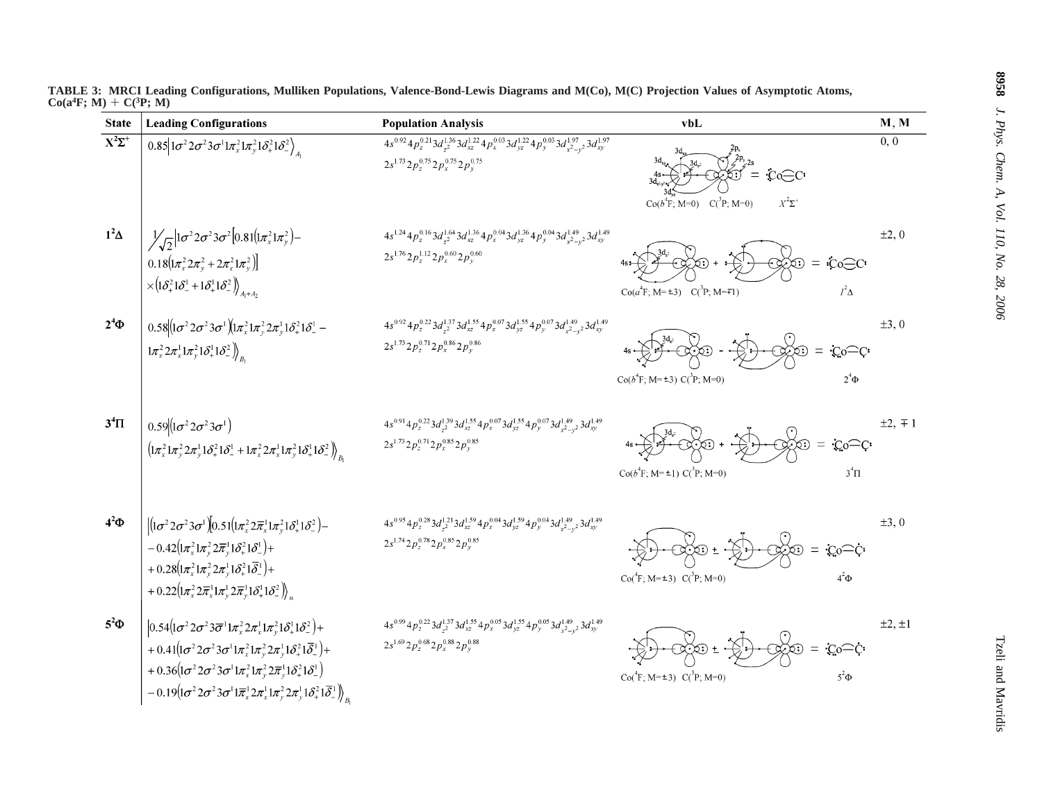| <b>State</b>             | <b>Leading Configurations</b>                                                                                                                                                                                                                                                                                                                                                                                                                                                                                                                                                                                                                                      | <b>Population Analysis</b>                                                                                                                                                                            | vbL                                                                                            | M, M             |
|--------------------------|--------------------------------------------------------------------------------------------------------------------------------------------------------------------------------------------------------------------------------------------------------------------------------------------------------------------------------------------------------------------------------------------------------------------------------------------------------------------------------------------------------------------------------------------------------------------------------------------------------------------------------------------------------------------|-------------------------------------------------------------------------------------------------------------------------------------------------------------------------------------------------------|------------------------------------------------------------------------------------------------|------------------|
| $\overline{X^2\Sigma^+}$ | $\overline{0.85 1\sigma^2 2\sigma^2 3\sigma^1 1\pi_x^2 1\pi_y^2 1\delta_+^2 1\delta_-^2}\Big\rangle_{A_1}$                                                                                                                                                                                                                                                                                                                                                                                                                                                                                                                                                         | $4s^{0.92}4p_z^{0.21}3d_{z^2}^{1.36}3d_{xz}^{1.22}4p_x^{0.03}3d_{yz}^{1.22}4p_y^{0.03}3d_{x^2-y^2}^{1.97}3d_{xy}^{1.97}$<br>$2s^{1.73} 2p_z^{0.75} 2p_x^{0.75} 2p_y^{0.75}$                           | $\rm Co\_C$<br>$Co(b^{4}F; M=0)$ $C(^{3}P; M=0)$<br>$X^2\Sigma^+$                              | $\overline{0,0}$ |
| $1^2\Delta$              | $\frac{1}{\sqrt{2}}\Big 1\sigma^2 2\sigma^2 3\sigma^2 \Big 0.81\Big(1\pi_x^2 1\pi_y^2\Big)-$<br>$0.18 \left( \frac{1}{\pi_x^2} 2\pi_y^2 + 2\pi_x^2 1\pi_y^2 \right)$<br>$\times \left( \mathbf{1}\delta_{+}^{2}\mathbf{1}\delta_{-}^{1}+\mathbf{1}\delta_{+}^{1}\mathbf{1}\delta_{-}^{2}\right) \right)_{A_{1}+A_{2}}$                                                                                                                                                                                                                                                                                                                                             | $4s^{1.24}4p_z^{0.16}3d_{z^2}^{1.64}3d_{xz}^{1.36}4p_x^{0.04}3d_{yz}^{1.36}4p_y^{0.04}3d_{x^2-y^2}^{1.49}3d_{xy}^{1.49}$<br>$2s^{1.76} 2p_z^{1.12} 2p_x^{0.60} 2p_y^{0.60}$                           | iCo∈C<br>න<br>$=$<br>$Co(a4F; M=±3)$ $C(^{3}P; M=F1)$<br>$l^2\Delta$                           | $\pm 2, 0$       |
| $2^4\Phi$                | $0.58 (1\sigma^2 2\sigma^2 3\sigma^1)(1\pi_x^2 1\pi_y^2 2\pi_y^1 1\delta_+^2 1\delta_-^1 -$<br>$\left(1\pi_x^2 2\pi_x^1 1\pi_y^2 1\delta_+^1 1\delta_-^2\right)_{B}$                                                                                                                                                                                                                                                                                                                                                                                                                                                                                               | $4s^{0.92} 4p^{0.22}_z 3d^{1.37}_{z^2} 3d^{1.55}_{xz} 4p^{0.07}_x 3d^{1.55}_{yz} 4p^{0.07}_y 3d^{1.49}_{x^2-y^2} 3d^{1.49}_{xy}$<br>$2s^{1.73} 2p_z^{0.71} 2p_x^{0.86} 2p_y^{0.86}$                   | $\rm{Co}\widehat{-}C$<br>∕ಾ<br>$\infty$<br>$=$<br>$Co(b^4F; M=\pm 3) C(^3P; M=0)$<br>$2^4\Phi$ | $\pm 3, 0$       |
| $3^4\Pi$                 | $0.59 (1\sigma^2 2\sigma^2 3\sigma^1)$<br>$\left(1\pi_x^2 1\pi_y^2 2\pi_y^1 1\delta_+^2 1\delta_-^1 + 1\pi_x^2 2\pi_x^1 1\pi_y^2 1\delta_+^1 1\delta_-^2\right)_{B}$                                                                                                                                                                                                                                                                                                                                                                                                                                                                                               | $4s^{0.91}4p_z^{0.22}3d_{z^2}^{1.39}3d_{xz}^{1.55}4p_x^{0.07}3d_{yz}^{1.55}4p_y^{0.07}3d_{x^2-y^2}^{1.49}3d_{xy}^{1.49}$<br>$2s^{1.73} 2p_z^{0.71} 2p_x^{0.85} 2p_y^{0.85}$                           | $\infty$<br>$C_0C$<br>$Co(b^4F; M = \pm 1) C(^3P; M = 0)$<br>$3^4\Pi$                          | $\pm 2, \mp 1$   |
| $4^2\Phi$                | $ (1\sigma^2 2\sigma^2 3\sigma^1)(0.51(1\pi_x^2 2\overline{\pi}_x^1 1\pi_y^2 1\delta_+^1 1\delta_-^2) -$<br>$-0.42(\mathbf{1}\pi_x^2\mathbf{1}\pi_y^2\mathbf{2}\overline{\pi}_y^1\mathbf{1}\delta_+^2\mathbf{1}\delta_-^1)+$<br>+ $0.28\left(1\pi_x^2 1\pi_y^2 2\pi_y^1 1\delta_+^2 1\overline{\delta}_-^1\right) +$<br>+ $0.22 \left( \frac{1}{\pi_x^2} 2 \overline{\pi}_x^1 \frac{1}{\pi_y^1} 2 \overline{\pi}_y^1 \frac{1}{\delta_x^1} 1 \delta_z^2 \right)_x$                                                                                                                                                                                                  | $4s^{0.95}4p_z^{0.28}3d_{z^2}^{1.21}3d_{xz}^{1.59}4p_x^{0.04}3d_{yz}^{1.59}4p_y^{0.04}3d_{x^2-y^2}^{1.49}3d_{xy}^{1.49}$<br>$2s^{1.74} 2p_z^{0.78} 2p_x^{0.85} 2p_y^{0.85}$                           | $\infty$<br>:Co <sup>—</sup> Ç∙<br>$Co(^{4}F; M=\pm 3)$ $C(^{3}P; M=0)$<br>$4^2\Phi$           | $\pm 3, 0$       |
| $5^2\Phi$                | $\left 0.54\left(\frac{1}{\sigma^2} 2\sigma^2 3\overline{\sigma}^1 1 \pi_x^2 2 \pi_x^1 1 \pi_y^2 1 \delta_+^1 1 \delta_-^2\right)\right $<br>+ $0.41 \left( \frac{1}{\sigma^2} 2 \sigma^2 3 \sigma^1 1 \pi_x^2 1 \pi_y^2 2 \pi_y^1 1 \delta_x^2 1 \overline{\delta}_x^1 \right) +$<br>$~~+ 0.36 \big(\mathbf{1} \sigma^2 \mathbf{2} \sigma^2 \mathbf{3} \sigma^1 \mathbf{1} \pi_{x}^2 \mathbf{1} \pi_{y}^2 \mathbf{2} \overline{\pi}_{y}^1 \mathbf{1} \delta_{+}^2 \mathbf{1} \delta_{-}^1 \big)$<br>$-0.19 \left(1 \sigma ^2 2 \sigma ^2 3 \sigma ^1 1 \overline{\pi }_x^1 2 \pi _x^1 1 \pi _y^2 2 \pi _y^1 1 \delta _x^2 1 \overline{\delta }_x^1 \right)_{B_1}$ | $4s^{0.99}\, 4p^{0.22}_z\, 3d^{1.37}_{z^2}\, 3d^{1.55}_{xz} \, 4p^{0.05}_x\, 3d^{1.55}_{yz} \, 4p^{0.05}_y\, 3d^{1.49}_{x^2-y^2}\, 3d^{1.49}_{xy}$<br>$2s^{1.69} 2p_z^{0.68} 2p_x^{0.88} 2p_y^{0.88}$ | ∞<br>∙Co <sup>—</sup> C∙<br>$Co(^{4}F; M=\pm 3)$ $C(^{3}P; M=0)$<br>$5^2\Phi$                  | $\pm 2, \pm 1$   |

TABLE 3: MRCI Leading Configurations, Mulliken Populations, Valence-Bond-Lewis Diagrams and M(Co), M(C) Projection Values of Asymptotic Atoms, **Co(a4F; M)** + **C(3P; M)**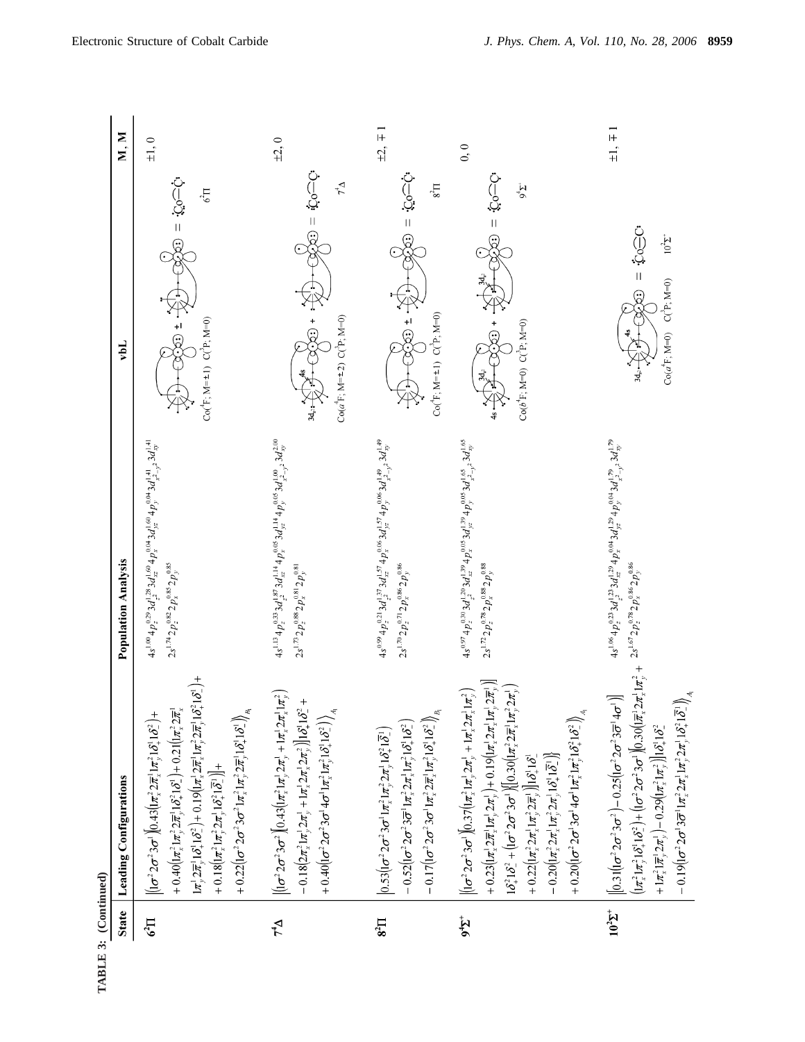| <b>State</b>        | Leading Configurations                                                                                                                                                                                                                                                                                                                                                                                                                                                                                                                                                                                                                                                                                                                                                                                                                                                                                                                                                                          | <b>Population Analysis</b>                                                                                                                                                                              | vbL                                                                                 | M, M           |
|---------------------|-------------------------------------------------------------------------------------------------------------------------------------------------------------------------------------------------------------------------------------------------------------------------------------------------------------------------------------------------------------------------------------------------------------------------------------------------------------------------------------------------------------------------------------------------------------------------------------------------------------------------------------------------------------------------------------------------------------------------------------------------------------------------------------------------------------------------------------------------------------------------------------------------------------------------------------------------------------------------------------------------|---------------------------------------------------------------------------------------------------------------------------------------------------------------------------------------------------------|-------------------------------------------------------------------------------------|----------------|
| $6\overline{11}$    | $\widehat{\delta}$<br>$1\pi$ <sup>1</sup> , $2\pi$ <sup>1</sup> , $1\delta$ <sup>2</sup> , $1\delta$ <sup>2</sup> + 0.19 $(1\pi)$ <sub>4</sub> , $2\pi$ <sup>1</sup> , $1\pi$ <sub>3</sub> , $2\pi$ <sub>5</sub> <sup>1</sup> , $1\delta$ <sub>4</sub> <sup>2</sup> 1<br>+ $0.40\left[\ln\frac{2}{\lambda}\ln\frac{2}{\lambda}\pi\right]$ , $1\delta_+^21\delta_+^11\delta_-^2$ + $0.21\left(\ln\frac{2}{\lambda}\pi\right)$<br>+ $0.22($ $1\sigma^2 2\sigma^2 3\sigma^2 1\pi_x^2 1\pi_y^2 2\pi_y^1 1\delta_x^1 1\delta_x^1$ $\big)_{B_1}$<br>$\left\ [\sigma^2 2 \sigma^2 3 \sigma^1\right]\!\!\left[0.43 \left(\!1 \pi_{\chi}^2 2 \overline{\pi}_{\chi}^1 1 \pi_{\chi}^2 1 \delta_{\chi}^1 1 \delta_{\chi}^2\right) +\right.$<br>+ $0.18\left[\frac{1}{\pi_{x}^{2}}1\pi_{y}^{2}2\pi_{y}^{1}1\delta_{x}^{2}1\overline{\delta}_{z}^{1}\right]\right]$ +                                                                                                                                         | $4s^{1.00}4p^{0.29}_{z}3d^{1.28}_{z^2}3d^{1.60}_{x^{\alpha}}4p^{0.04}_{x}3d^{1.60}_{y^{\alpha}}4p^{0.04}_{y}3d^{1.41}_{y^{\alpha}}$<br>$3d^{1.41}_{xy}$<br>$2s^{1.74}2p_z^{0.82}2p_x^{0.85}2p_y^{0.85}$ | $Q = 2$ : $Q = 0$<br>$6\overline{11}$<br>$Co(F; M = \pm 1)$ $C(P; M=0)$             | $\pm 1, 0$     |
|                     | $\left\  \left[ (\sigma^2 2 \sigma^2 3 \sigma^2) (0.43 (\left[ \pi_x^2 1 \pi_y^1 2 \pi_y^1 + 1 \pi_x^1 2 \pi_x^1 1 \pi_y^2 \right] \right. \right\ $<br>$-0.18(2\pi_x^2 1\pi_y^1 2\pi_y^1 + 1\pi_x^1 2\pi_x^1 2\pi_y^2)$ $1\delta_x^1 1\delta_z^2 +$<br>+ $0.40$ $\left[1\sigma^2 2\sigma^2 3\sigma^1 4\sigma^1 1\pi_x^2 1\pi_y^2 1\delta_x^1 1\delta_z^2\right]\right\}_{A_1}$                                                                                                                                                                                                                                                                                                                                                                                                                                                                                                                                                                                                                 | $4s^{1.13}4p^{0.33}_{z}3d^{1.87}_{z^2}3d^{1.14}_{xz}4p^{0.05}_{x}3d^{1.14}_{yz}4p^{0.05}_{y}3d^{1.00}_{x^2-y^2}3d^{2.00}_{xy}$<br>$2s^{1.75}2p_z^{0.88}2p_x^{0.81}2p_y^{0.81}$                          | $\dot{Q} = \dot{Q}$<br>$\sum_{r}$<br>$Co(a^1F; M=\pm 2)$ $C(^3P; M=0)$              | $\pm 2,0$      |
| $8^{2}$             | $-0.17[(\sigma^{2}2\sigma^{2}3\sigma^{1}1\pi_{x}^{2}2\overline{\pi}_{x}^{1}1\pi_{y}^{2}1\delta_{x}^{1}1\delta_{z}^{2})]_{B_{1}}$<br>$0.52$ $(1\sigma^2 2\sigma^2 3\overline{\sigma}^1 1\pi_x^2 2\pi_x^1 1\pi_y^2 1\delta_x^1 1\delta_z^2)$<br>$\left 0.53\right \left \sigma^{2}2\sigma^{2}3\sigma^{1}1\pi_{x}^{2}1\pi_{y}^{2}2\pi_{y}^{1}1\delta_{x}^{2}1\overline{\delta_{z}^{1}}\right $                                                                                                                                                                                                                                                                                                                                                                                                                                                                                                                                                                                                     | $4s^{0.99}4p_z^{0.21}3d_z^{1.37}3d_x^{1.57}4p_x^{0.06}3d_y^{1.57}4p_y^{0.06}3d_z^{1.49}2d_x^{1.49}$<br>$2s^{1.70}2p_z^{0.71}2p_x^{0.86}2p_y^{0.86}$                                                     | ن<br>پار<br>:پ<br>$8\overline{11}$<br>$Co(F; M=1)$ $C(P; M=0)$                      | $\pm 2, \mp 1$ |
| $5^{+2}6$           | $\begin{split} &+ 0.23 \big(\!\left(\!1 x_{\rm s}^{\rm t}\!\!,2 \overline{x}_{\rm s}^{\rm t}\!\!,1 x_{\rm s}^{\rm t}\!\!,2 x_{\rm s}^{\rm t}\!\right)\!\big) \!\!+ 0.19 \big(\!\left(\!1 x_{\rm s}^{\rm t}\!\!,2 x_{\rm s}^{\rm t}\!\!,1 x_{\rm s}^{\rm t}\!\!,2 \overline{x}_{\rm s}^{\rm t}\!\right)\!\!\big) \\ &\hspace{0.06cm}1 \delta_{\rm s}^2 1 \delta_{\rm s}^2 + \big(\!\left(\!1 \sigma^2\!\!,2 \sigma^2\!\!,3$<br>$\left  \left( [\sigma^2 2 \sigma^2 3 \sigma^1) \right] 0.37 (\left  \pi_x^2 1 \pi_y^1 2 \pi_y^1 + 1 \pi_x^1 2 \pi_x^1 1 \pi_y^2 \right) \right $<br>$+ 0.20 (1\sigma^2 2\sigma^1 3\sigma^1 4\sigma^1 1\pi_x^2 1\pi_y^2 1\delta_z^2 1\delta_z^2) \Big _{A_1}$<br>$-0.20\left(\frac{1}{\pi^{2}_{x}} 2\pi^{1}_{x} 1\pi^{2}_{y} 2\pi^{1}_{y} 1\delta^{1}_{x} 1\overline{\delta}^{1}_{z}\right)$<br>$+ 0.22 \left[ \frac{1}{2} \pi_{x}^{2} 2 \pi_{x}^{1} 1 \pi_{y}^{2} 2 \overline{\pi}_{y}^{1} \right] \left[ \frac{1}{2} \delta_{x}^{1} 1 \delta_{y}^{1} 2 \right]$ | $4s^{0.97}4p_z^{0.90}3d_{z^2}^{1.20}3d_{xz}^{1.99}4p_x^{0.05}3d_{yz}^{1.99}4p_y^{0.05}3d_{x^2-z^2}^{1.65}3d_{xy}^{1.65}$<br>$2s^{1.72}2p_z^{0.78}2p_x^{0.88}2p_y^{0.88}$                                | $9^{4}$ $\Sigma^{+}$<br>$Co(b^{\dagger}F; M=0)$ $C(^{\dagger}F; M=0)$               | 0, 0           |
| $10^{2} \Sigma^{+}$ | $\pi_{x}^{1}1\pi_{y}^{2} +$<br>$- \, 0.19 \big( [\sigma^2 \, 2 \sigma^1 3 \overline{\sigma}^1 1 \pi_{\chi}^2 2 \pi_{\chi}^1 1 \pi_{\gamma}^2 2 \pi_{\chi}^1 1 \delta_{\tau}^2 1 \overline{\delta}_{\tau}^1 \big) \! \big)$<br>$\left  0.31 (1 \sigma^2 2 \sigma^2 3 \sigma^2) - 0.25 (1 \sigma^2 2 \sigma^2 3 \overline{\sigma}^1 4 \sigma^1) \right $<br>$\left(1\pi_\ast^2 1\pi_\ast^2 1\delta_\ast^1 1\delta_\ast^2\right) + \left(1\sigma^2 2\sigma^2 3\sigma^1\right) \right] 0.30$ $\left(1\pi_\ast^1 2\pi_\ast^2 2\sigma^2\right)$<br>$+1\pi_{x}^{2}1\overline{\pi}_{y}^{1}2\pi_{y}^{1}\big)-0.29\big(1\pi_{x}^{2}1\pi_{y}^{2}\big)\big]1\delta_{x}^{1}1\delta_{z}^{2}$                                                                                                                                                                                                                                                                                                                  | $4s^{1.06}4p_z^{0.23}3d_{zz}^{1.23}3d_{xz}^{1.29}4p_x^{0.04}3d_{yz}^{1.29}4p_y^{0.04}3d_{x^2-y^2}^{1.79}3d_{xy}^{1.79}$<br>$2s^{1.67}2p_z^{0.78}2p_x^{0.86}2p_y^{0.86}$                                 | ن<br>پن©<br>=<br>$10^{2} \Sigma^{+}$<br>$Co(d^{\frac{1}{2}}F; M=0)$ $C(^{2}F; M=0)$ | $\pm 1, \mp 1$ |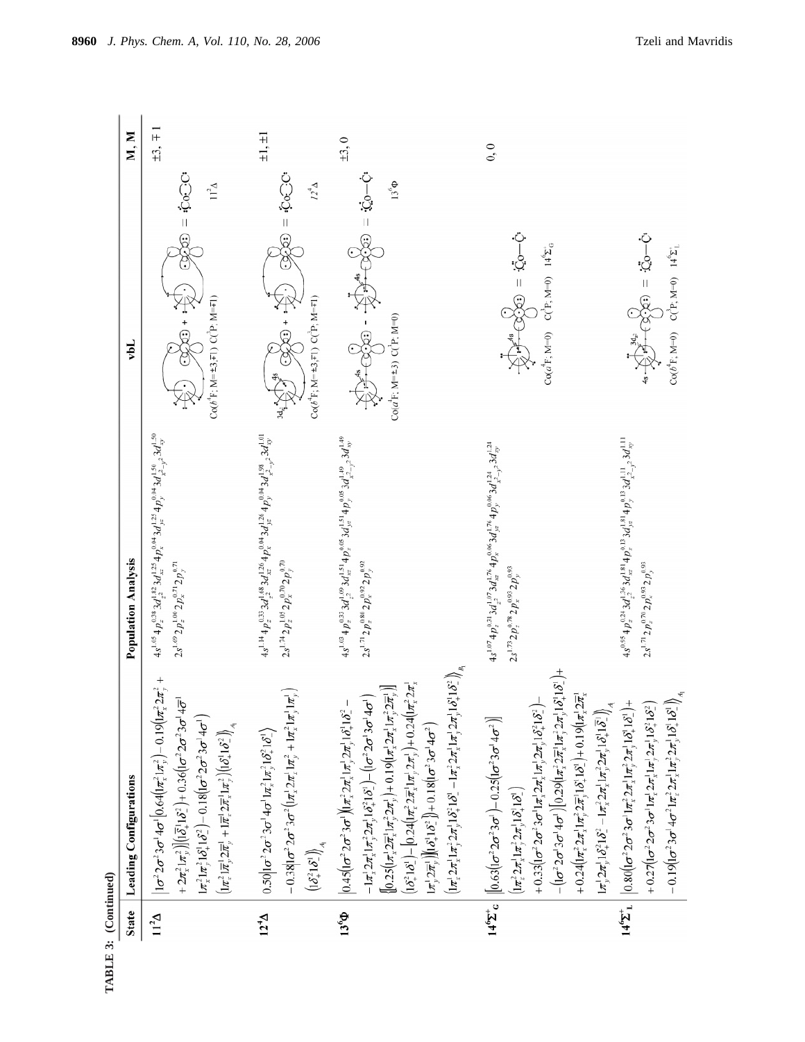

|                   | <b>State</b> Leading Configurations                                                                                                                                                                                                                                                                                                                                                                                                                                                                                                                                                                                                                                                                                                                                                                                                                                                                                                                                                                                                                                                                                                                                                                                                                                                                                                      | <b>Population Analysis</b>                                                                                                                                                                  | M, M<br>vbL                                                                                                                                                                                                                                                                                                                                                                                                                                                          |
|-------------------|------------------------------------------------------------------------------------------------------------------------------------------------------------------------------------------------------------------------------------------------------------------------------------------------------------------------------------------------------------------------------------------------------------------------------------------------------------------------------------------------------------------------------------------------------------------------------------------------------------------------------------------------------------------------------------------------------------------------------------------------------------------------------------------------------------------------------------------------------------------------------------------------------------------------------------------------------------------------------------------------------------------------------------------------------------------------------------------------------------------------------------------------------------------------------------------------------------------------------------------------------------------------------------------------------------------------------------------|---------------------------------------------------------------------------------------------------------------------------------------------------------------------------------------------|----------------------------------------------------------------------------------------------------------------------------------------------------------------------------------------------------------------------------------------------------------------------------------------------------------------------------------------------------------------------------------------------------------------------------------------------------------------------|
| $11^{2} \Delta$   | $\left  1\sigma^2 2\sigma^2 3\sigma^1 4\sigma^1 \right  0.64 \left( \left  \pi_x^2 1\pi_y^2 \right. \right) - 0.19 \left( \left  \pi_x^2 2\pi_y^2 \right. +$<br>+ $2\pi_{x}^{2}1\pi_{y}^{2}$ $\left  \left  \left( \overline{\delta}_{x}^{1}1\delta_{z}^{2} \right) + 0.36 \left  \left( \sigma^{2} 2\sigma^{2} 3\sigma^{1} 4\overline{\sigma}^{1} \right) \right  \right.$<br>$\left[\pi_1^2 \left[\pi_1^2 \left[ \delta_1^2 \right] \delta_2^2 \right] - 0.18 \left[ \left[ \sigma^2 2 \sigma^2 3 \sigma^1 4 \sigma^1 \right] \right] \right]$<br>$\left( \pi_{\scriptscriptstyle \mathcal{X}}^{\,2} \,\overline{\pi}_{\scriptscriptstyle \mathcal{Y}}^{\,1}\,2\overline{\pi}_{\scriptscriptstyle \mathcal{Y}}^{\,1}+ \,\overline{\pi}_{\scriptscriptstyle \mathcal{X}}^{\,1}\,2\overline{\pi}_{\scriptscriptstyle \mathcal{X}}^{\,1}\, \pi_{\scriptscriptstyle \mathcal{Y}}^{\,2}\right)\left \left( \delta_{\scriptscriptstyle \mathcal{Y}}^{\,1}\, \delta_{\scriptscriptstyle \mathcal{Z}}^{\,2}\,\right]\right\rangle_{A_{\!\scriptscriptstyle\mathcal{Y}}}$                                                                                                                                                                                                                                                                       | $4s^{1.05}4p^{0.38}_z3d^{1.82}_{z^2}3d^{1.25}_{xz}4p^{0.04}_xd^{1.25}_z4p^{0.04}_y3d^{1.50}_{z^2-y^2}3d^{1.50}_{xy}$<br>$2s^{1.69} 2p_z^{1.00} 2p_x^{0.71} 2p_y^{0.71}$                     | $\pm 3, \mp 1$<br>ිරින = ලැන<br>$11^2\Delta$<br>$-320$<br>$Co(b^4F; M=\pm 3, \mp 1)$ $C(P; M=\mp 1)$                                                                                                                                                                                                                                                                                                                                                                 |
| $12^{4}$ $\Delta$ | $-0.38$   $\sigma^2 2\sigma^2 3\sigma^2 (l\pi_x^2 2\pi_x^1 l\pi_y^2 + l\pi_x^2 l\pi_y^1 l\pi_y^1$<br>$0.50 1\sigma^2 2\sigma^2 3\sigma^1 4\sigma^1 1\pi_x^2 1\pi_y^2 1\delta_x^2 1\delta_x^1$<br>$\left(1\delta_{+}^{2}1\delta_{-}^{1}\right)\!\!\Big\rangle_{A_{\parallel}}$                                                                                                                                                                                                                                                                                                                                                                                                                                                                                                                                                                                                                                                                                                                                                                                                                                                                                                                                                                                                                                                            | $4s^{1.14} + p^{0.33}_{z} 3d^{1.68}_{z^2} 3d^{1.26}_{xz} + p^{0.04}_{x} 3d^{1.26}_{yz} 4p^{0.04}_{y} 3d^{1.98}_{x^2-y^2} 3d^{1.01}_{xy}$<br>$2s^{1.74} 2p_z^{1.05} 2p_x^{0.70} 2p_y^{0.70}$ | $\pm 1, \pm 1$<br>වටා = ගරන<br>$12^{4}$ $\Delta$<br>$\begin{picture}(20,20) \put(0,0){\vector(0,1){30}} \put(15,0){\vector(0,1){30}} \put(15,0){\vector(0,1){30}} \put(15,0){\vector(0,1){30}} \put(15,0){\vector(0,1){30}} \put(15,0){\vector(0,1){30}} \put(15,0){\vector(0,1){30}} \put(15,0){\vector(0,1){30}} \put(15,0){\vector(0,1){30}} \put(15,0){\vector(0,1){30}} \put(15,0){\vector(0,1){30}} \put(15,0){\vector(0$<br>$Co(b^4F; M=±3, F1) C(^3F; M=F1)$ |
| $13^6\Phi$        | $\left(  \pi^{\scriptscriptstyle{1}}_{\scriptscriptstyle{X}} \!\! \left. 2 \pi^{\scriptscriptstyle{1}}_{\scriptscriptstyle{X}} \! \left. 1 \pi^{\scriptscriptstyle{2}}_{\scriptscriptstyle{Y}} \!\! 2 \pi^{\scriptscriptstyle{1}}_{\scriptscriptstyle{Y}} \! \left. 1 \delta^{\scriptscriptstyle{2}}_{\scriptscriptstyle{Z}} \! \left. 1 \delta^{\scriptscriptstyle{2}}_{\scriptscriptstyle{Z}} \! \left. 1 \pi^{\scriptscriptstyle{2}}_{\scriptscriptstyle{Z}} \!\! 2 \pi^{\scriptscriptstyle{1}}_{\scriptscriptstyle{X}} \! \left. 1 \pi^{\scriptscriptstyle{1}}_{\scriptscriptstyle{Y}} \!\$<br>$\left[1\delta_1^2 1 \delta_2^1 - \left[0.24\left(\ln_2^2 2\overline{\pi}_2^1 \ln_2^1 2\pi_2^1\right) + 0.24\left(\ln_2^2 2\pi_2^1\right)\right]\right]$<br>≂<br>$-I\pi_x^! 2\pi_x^! 1\pi_y^2 2\pi_y^! 1\delta_x^2 1\delta_x^! 1 - (1\sigma^2 2\sigma^1 3\sigma^1 4\sigma^1)$<br>$\left[0.25\left(\frac{1}{\pi_{x}^{2}}2\overline{\pi}_{x}^{1}1\pi_{y}^{2}2\pi_{y}^{1}\right)+0.19\left(\frac{1}{\pi_{x}^{2}}2\pi_{z}^{1}1\pi_{y}^{2}2\overline{\pi}_{y}^{1}\right)\right]$<br>$\Big 0.45\Big( \sigma^2 2 \sigma^2 3 \sigma^1\Big)\Big 1\pi_{\rm s}^2 2\pi_{\rm s}^1 1\pi_{\rm s}^1 2\pi_{\rm s}^1 1\delta_{\rm s}^2 1\delta_{\rm s}^2 -$<br>$1\pi^1$ , $2\pi^1$ , $[(\delta_1^1 1\delta_2^2)] + 0.18(1\sigma^2 3\sigma^1 4\sigma^2)$ | $4s^{1.03}4p_z^{0.33}3d_{z^2}^{1.69}3d_{xz}^{1.51}4p_x^{0.05}3d_{yz}^{1.51}4p_y^{0.05}3d_{x^2-y^2}^{1.49}3d_{xy}^{1.49}$<br>$2s^{1.71}2p_z^{0.80}2p_x^{0.92}2p_y^{0.92}$                    | $\pm 3, 0$<br>$\odot\odot\odot$ = $\odot\odot\odot\odot$<br>$13^{6}\Phi$<br>東平・受け<br>$Co(a^TF; M=+3)$ $C(^P; M=0)$                                                                                                                                                                                                                                                                                                                                                   |
|                   | $ \delta^1 $ +<br>$-[(\sigma^2 2\sigma^1 3\sigma^1 4\sigma^1)(0.29(\ln^2_{\chi} 2\pi^1_{\chi}1\pi^2_{\chi} 2\pi^1_{\chi}1\delta^1_{\chi}1$<br>+ $0.24\left[\frac{1}{\pi_{x}^{2}} 2\pi_{x}^{1} 1\pi_{y}^{2} 2\overline{\pi}_{y}^{1} 1 \delta_{x}^{1} 1 \delta_{y}^{1} 1 0.19\left(\frac{1}{\pi_{x}^{1}} 2\overline{\pi}_{x}^{1}\right)\right]$<br>+ $0.33$ $\left[\frac{\sigma^2 2\sigma^2 3\sigma^2 \ln \left\lfloor \frac{2\pi \sqrt{1}}{2}, \frac{2\pi \sqrt{1}}{2}\right\rfloor + \frac{2\pi \sqrt{10}}{2}\right]$<br>$1\pi_y^1 2\pi_y^1 1\delta_x^2 1\delta_z^2 - 1\pi_x^2 2\pi_x^1 1\pi_y^2 2\pi_y^1 1\delta_z^1 1\overline{\delta}_z^1\bigg)_A$<br>$14^{\circ} \Sigma^+ c \left\lVert [0.63[(\sigma^2 2 \sigma^2 3 \sigma^1) - 0.25[(\sigma^2 3 \sigma^1 4 \sigma^2)] \right\rVert$<br>$\left( \frac{1}{2} \pi_{x}^{2} 2 \pi_{y}^{1} 1 \pi_{y}^{2} 2 \pi_{y}^{1} 1 \delta_{y}^{1} 1 \delta_{z}^{1} \right)$                                                                                                                                                                                                                                                                                                                                                                                                                        | $4s^{1.07}4p^{0.31}_{z}3d^{1.07}_{z^2}3d^{1.76}_{xz}4p^{0.06}_{x}3d^{1.76}_{yz}4p^{0.06}_{y}3d^{1.24}_{z^2-y^2}3d^{1.24}_{xy}$<br>$2s^{1.73}2p_z^{0.78}2p_x^{0.93}2p_y^{0.93}$              | 0, 0<br>$3-25 = 355$<br>$Co(a4F; M=0)$ $C(^{3}P; M=0)$ $14^{6}\Sigma^{+}_{G}$                                                                                                                                                                                                                                                                                                                                                                                        |
|                   | $-0.19$ $(1\sigma^2 3\sigma^1 4\sigma^2 1\pi_x^2 2\pi_x^1 1\pi_y^2 2\pi_y^1 1\delta_x^1 1\delta_z^1)\Big _{A}$<br>$14^{\circ} \Sigma^{+}$   $\Big  0.80 \Big  10^{-2} 2\sigma^{2} 3\sigma^{1} 1\pi_{x}^{2} 2\pi_{x}^{1} 1\pi_{y}^{2} 2\pi_{y}^{1} 1\delta_{x}^{1} 1\delta_{y}^{1} 1\Big  +$<br>+ $0.27[(\sigma^2 2\sigma^2 3\sigma^1 1\pi_x^1 2\pi_x^1 1\pi_y^1 2\pi_y^1 1\delta_x^2 1\delta_z^2]$                                                                                                                                                                                                                                                                                                                                                                                                                                                                                                                                                                                                                                                                                                                                                                                                                                                                                                                                       | $4s^{0.95}4p_z^{0.24}3d_z^{1.56}3d_{zz}^{1.81}4p_x^{0.13}3d_{yz}^{1.81}4p_y^{0.13}3d_{xz}^{1.11}.3d_{xy}^{1.11}$<br>$2s^{1.71}2p_z^{0.70}2p_x^{0.93}2p_y^{0.93}$                            | $\frac{1}{2}$ $\frac{1}{2}$ $\frac{1}{2}$ $\frac{1}{2}$ $\frac{1}{2}$ $\frac{1}{2}$<br>$Co(b^4F; M=0)$ $C(^3P; M=0)$ $14^9\Sigma_1^+$                                                                                                                                                                                                                                                                                                                                |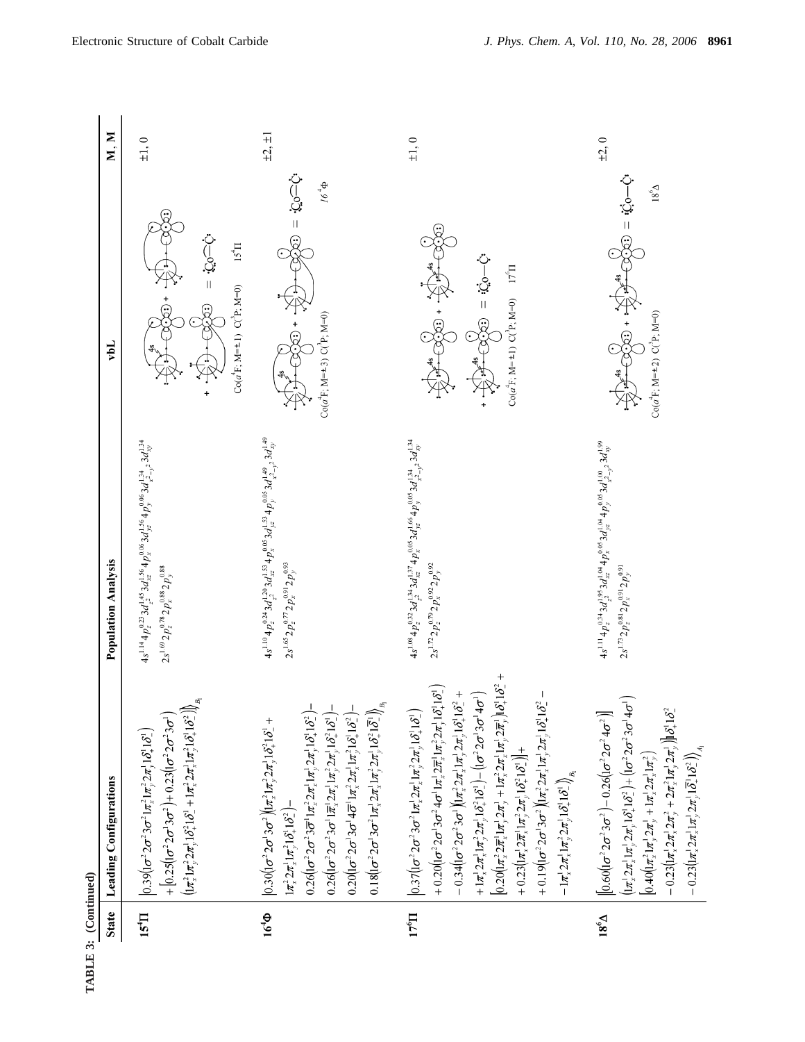| <b>State</b>    | Leading Configurations                                                                                                                                                                                                                                                                                                                                                                                                                                                                                                                                                                                                                                                                                                                                                                                                                                                                                                                                              | <b>Population Analysis</b>                                                                                                                                                   | rpT                                                                                                                          | M, M           |
|-----------------|---------------------------------------------------------------------------------------------------------------------------------------------------------------------------------------------------------------------------------------------------------------------------------------------------------------------------------------------------------------------------------------------------------------------------------------------------------------------------------------------------------------------------------------------------------------------------------------------------------------------------------------------------------------------------------------------------------------------------------------------------------------------------------------------------------------------------------------------------------------------------------------------------------------------------------------------------------------------|------------------------------------------------------------------------------------------------------------------------------------------------------------------------------|------------------------------------------------------------------------------------------------------------------------------|----------------|
| 15 <sup>4</sup> | $\left(1\pi_{*}^{2}1\pi_{y}^{2}2\pi_{y}^{1}1\delta_{+}^{2}1\delta_{-}^{1}+1\pi_{*}^{2}2\pi_{*}^{1}1\pi_{y}^{2}1\delta_{+}^{1}1\delta_{-}^{2}\right)\right)_{B}$<br>+ $[0.25(\mathrm{I}\sigma^22\sigma^13\sigma^2)+0.23(\mathrm{I}\sigma^22\sigma^23\sigma^1)$<br>$\left  0.39\right\  \sigma^{2}2\sigma^{2}3\sigma^{2}1\pi _{\ast }^{2}1\pi _{\nu }^{2}2\pi _{\nu }^{1}1\delta _{\mu }^{1}1\delta _{\nu }^{2}\right)$                                                                                                                                                                                                                                                                                                                                                                                                                                                                                                                                               | $4s^{1.14}4p^{0.23}_23d^{1.45}_{z^2}3d^{1.56}_{xz}4p^{0.06}_{x}3d^{1.56}_{yz}4p^{0.06}_{y}3d^{1.34}_{x^2-y^2}3d^{1.34}_{xy}$<br>$2s^{1.69}2p_z^{0.78}2p_x^{0.88}2p_y^{0.88}$ | $Q = Q$<br>$15^{4}$<br>$Co(a^4F; M=\pm 1)$ $C(^3P; M=0)$                                                                     | $\pm 1, 0$     |
| $164$ Φ         | $0.18 (1\sigma^2 2\sigma^1 3\sigma^2 1\pi_x^1 2\pi_x^1 1\pi_y^2 2\pi_y^1 1\delta_x^2 1\overline{\delta}_1^n) \Big)_{\!\! \beta_1}$<br>$0.26$ $(1\sigma^2 2\sigma^2 3\bar{\sigma}^1 1\pi_x^2 2\pi_x^1 1\pi_y^1 2\pi_y^1 1\delta_x^1 1\delta_x^2)$<br>$0.26(1\sigma^2 2\sigma^2 3\sigma^1 1\overline{\pi}_x^1 2\pi_x^1 1\pi_y^2 2\pi_y^1 1\delta_x^2 1\delta_x^1)$ –<br>$0.20([{\sigma}^22{\sigma}^13{\sigma}^14{\overline{\sigma}}^11{\pi_{x}^2}2{\pi_{x}^11}{\pi_{y}^2}1{\delta_{x}^2}1{\delta_{x}^2}]$ -<br>$\Big 0.30 \Big( \sigma^2 2 \sigma^1 3 \sigma^2 \Big) \Big  \pi_x^2 1 \pi_y^2 2 \pi_y^1 1 \delta_x^2 1 \delta_x^1 +$<br>$1\pi_{x}^{2} 2\pi_{x}^{1} 1\pi_{y}^{2} 1\delta_{x}^{1} 1\delta_{z}^{2}$                                                                                                                                                                                                                                                       | $4s^{1.10}4p_z^{0.24}3d_{z^2}^{1.20}3d_{xz}^{1.53}4p_x^{0.05}3d_{yz}^{1.53}4p_y^{0.05}3d_{x^2-z^2}^{1.49}3d_{xy}^{1.49}$<br>$2s^{1.65}2p_z^{0.77}2p_x^{0.91}2p_y^{0.93}$     | $Q=Q$ = $Q$<br>$\Phi_{\rm r}$ 9/<br>$Co(a^{4}F; M=\pm 3)$ $C(^{3}P; M=0)$                                                    | $\pm 2, \pm 1$ |
| $176$ I         | $\left[0.20\left(\frac{1}{\pi_{x}^{2}} 2\pi_{x}^{1} 1\pi_{y}^{1} 2\pi_{y}^{1} + 1\pi_{x}^{2} 2\pi_{x}^{1} 1\pi_{y}^{1} 2\pi_{y}^{1} 16_{x}^{1} 16_{x}^{2} + \cdots \right]$<br>+ $0.20[(\sigma^2 2\sigma^1 3\sigma^2 4\sigma^1 1\pi_x^1 2\overline{\pi}_x^1 1\pi_y^2 2\pi_y^1 1\delta_x^1 1\delta_x^1$<br>+ $1\pi_x^1 2\pi_x^1 1\pi_y^2 2\pi_y^1 1\delta_x^2 1\delta_x^1$ ) – $(1\sigma^2 2\sigma^1 3\sigma^1 4\sigma^1)$<br>$-0.34$ $(c22\sigma23\sigma1)(1\pix22\pix11\piy12\piy11\delta121\delta22$<br>+ $0.19(1\sigma^2 2\sigma^1 3\sigma^2)(1\pi_x^2 2\pi_x^1 1\pi_y^1 2\pi_y^1 1\delta_x^1 1\delta_z^2$<br>$\left  0.37 \left( \left[ \sigma^2 2 \sigma^2 3 \sigma^2 1 \pi_x^1 2 \pi_x^1 1 \pi_y^2 2 \pi_y^1 1 \delta_x^1 1 \delta_x^2 \right] \right) \right $<br>+ $0.23\left(\left(n_x^1 2\pi_x^1 1\pi_y^2 2\pi_y^1 1\delta_x^2 1\delta_y^1\right)\right)$ +<br>$\left.-1\pi^!_x 2\pi^!_x 1\pi^2_y 2\pi^!_y 1\delta^!_+ 1\delta^!_- \right)_{\!\!\beta_1}$ | $4s^{1.08}4p_z^{0.22}3d_z^{1.34}3d_{xz}^{1.57}4p_x^{0.05}3d_{yz}^{1.66}4p_y^{0.05}3d_{x_z-1,z}^{1.34}3d_{xy}^{1.34}$<br>$2s^{1.72}2p_z^{0.79}2p_x^{0.92}2p_y^{0.92}$         | $\frac{1}{2} - \frac{1}{2}$ = $\frac{1}{2}$<br>$Co(a^4F; M=1)$ $C(^4P; M=0)$ $17^6\Pi$<br>$\frac{1}{\sqrt{2}}\sum_{k=1}^{n}$ | $\pm 1, 0$     |
| $18^{6}$        | $\left( \frac{1}{\pi} \frac{1}{2} 2 \pi \frac{1}{2} 1 \pi \frac{1}{2} 2 \pi \frac{1}{2} 1 \delta_{+}^{2} 1 \delta_{-}^{2} \right) + \left( \frac{1}{\pi} \sigma^{2} 2 \sigma^{2} 3 \sigma^{1} 4 \sigma^{1} \right)$<br>$-0.23\left(\left \pi_{x}^{1}2\pi_{x}^{2}2\pi_{y}^{2}+2\pi_{x}^{2}1\pi_{y}^{1}2\pi_{y}^{1}\right)\right \delta_{x}^{1}1\delta_{z}^{2}$<br>$\left[\left[0.60\left(\left(\sigma^{2}2\sigma^{2}3\sigma^{2}\right)-0.26\left(\left(\sigma^{2}2\sigma^{2}4\sigma^{2}\right)\right)\right.\right.$<br>$-0.23 (1\pi_x^1 2\pi_x^1 1\pi_y^1 2\pi_y^1 1\overline{\delta}_+^1 1\delta_-^2)\Big _{A_1}$<br>$[0.40(\ln_x^2 1\pi_y^1 2\pi_y^1 + 1\pi_x^1 2\pi_x^1 1\pi_y^2)]$                                                                                                                                                                                                                                                                              | $4s^{1.11}4p^{0.34}_z3d^{1.95}_{zz}3d^{1.04}_{xz}4p^{0.05}_x3d^{1.04}_{yz}4p^{0.05}_y3d^{1.00}_{xz}2d^{1.99}_{xy}$<br>$2s^{1.73}2p_z^{0.81}2p_x^{0.91}2p_y^{0.91}$           | රා—ග් = ගුරා<br>$18^6\Delta$<br>ACH + ECO<br>$Co(a^{T}F; M=\pm 2)$ $C(^{3}F; M=0)$                                           | $\pm 2, 0$     |